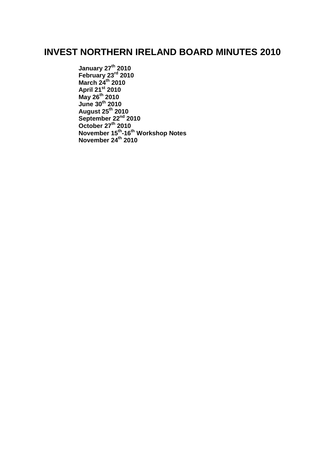# **INVEST NORTHERN IRELAND BOARD MINUTES 2010**

**[January 27](#page-1-0)th 2010 [February 23](#page-5-0)rd 2010 [March 24](#page-13-0)th 2010 [April](#page-20-0) 21st 2010 [May 26](#page-25-0)th 2010 [June 30](#page-31-0)th 2010 [August 25](#page-36-0)th 2010 [September 22](#page-42-0)nd 2010 [October 27](#page-47-0)th 2010 November 15th -16th [Workshop Notes](#page-54-0) [November 24](#page-64-0)th 2010**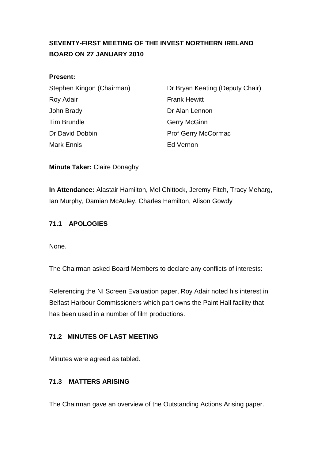# <span id="page-1-0"></span>**SEVENTY-FIRST MEETING OF THE INVEST NORTHERN IRELAND BOARD ON 27 JANUARY 2010**

#### **Present:**

| Stephen Kingon (Chairman) |
|---------------------------|
| Roy Adair                 |
| John Brady                |
| <b>Tim Brundle</b>        |
| Dr David Dobbin           |
| Mark Ennis                |

Dr Bryan Keating (Deputy Chair) **Frank Hewitt** Dr Alan Lennon Gerry McGinn Prof Gerry McCormac Ed Vernon

**Minute Taker:** Claire Donaghy

**In Attendance:** Alastair Hamilton, Mel Chittock, Jeremy Fitch, Tracy Meharg, Ian Murphy, Damian McAuley, Charles Hamilton, Alison Gowdy

### **71.1 APOLOGIES**

None.

The Chairman asked Board Members to declare any conflicts of interests:

Referencing the NI Screen Evaluation paper, Roy Adair noted his interest in Belfast Harbour Commissioners which part owns the Paint Hall facility that has been used in a number of film productions.

### **71.2 MINUTES OF LAST MEETING**

Minutes were agreed as tabled.

### **71.3 MATTERS ARISING**

The Chairman gave an overview of the Outstanding Actions Arising paper.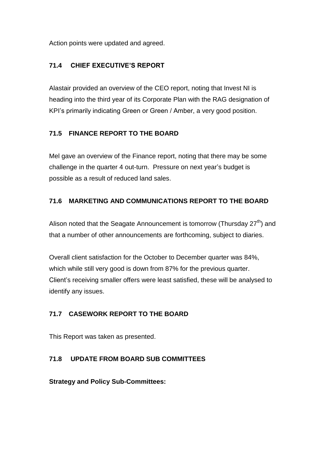Action points were updated and agreed.

### **71.4 CHIEF EXECUTIVE'S REPORT**

Alastair provided an overview of the CEO report, noting that Invest NI is heading into the third year of its Corporate Plan with the RAG designation of KPI's primarily indicating Green or Green / Amber, a very good position.

### **71.5 FINANCE REPORT TO THE BOARD**

Mel gave an overview of the Finance report, noting that there may be some challenge in the quarter 4 out-turn. Pressure on next year's budget is possible as a result of reduced land sales.

### **71.6 MARKETING AND COMMUNICATIONS REPORT TO THE BOARD**

Alison noted that the Seagate Announcement is tomorrow (Thursday  $27<sup>th</sup>$ ) and that a number of other announcements are forthcoming, subject to diaries.

Overall client satisfaction for the October to December quarter was 84%, which while still very good is down from 87% for the previous quarter. Client's receiving smaller offers were least satisfied, these will be analysed to identify any issues.

# **71.7 CASEWORK REPORT TO THE BOARD**

This Report was taken as presented.

# **71.8 UPDATE FROM BOARD SUB COMMITTEES**

**Strategy and Policy Sub-Committees:**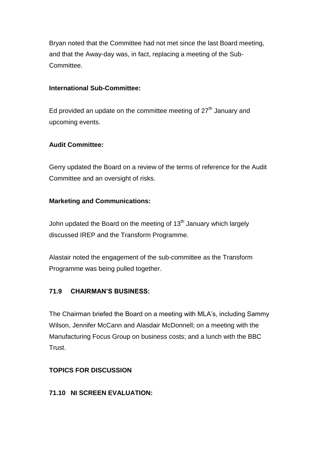Bryan noted that the Committee had not met since the last Board meeting, and that the Away-day was, in fact, replacing a meeting of the Sub-Committee.

#### **International Sub-Committee:**

Ed provided an update on the committee meeting of  $27<sup>th</sup>$  January and upcoming events.

### **Audit Committee:**

Gerry updated the Board on a review of the terms of reference for the Audit Committee and an oversight of risks.

### **Marketing and Communications:**

John updated the Board on the meeting of  $13<sup>th</sup>$  January which largely discussed IREP and the Transform Programme.

Alastair noted the engagement of the sub-committee as the Transform Programme was being pulled together.

### **71.9 CHAIRMAN'S BUSINESS:**

The Chairman briefed the Board on a meeting with MLA's, including Sammy Wilson, Jennifer McCann and Alasdair McDonnell; on a meeting with the Manufacturing Focus Group on business costs; and a lunch with the BBC Trust.

### **TOPICS FOR DISCUSSION**

### **71.10 NI SCREEN EVALUATION:**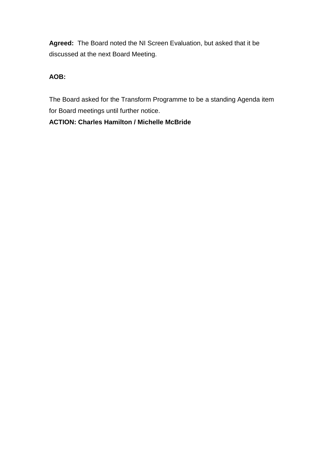**Agreed:** The Board noted the NI Screen Evaluation, but asked that it be discussed at the next Board Meeting.

# **AOB:**

The Board asked for the Transform Programme to be a standing Agenda item for Board meetings until further notice.

# **ACTION: Charles Hamilton / Michelle McBride**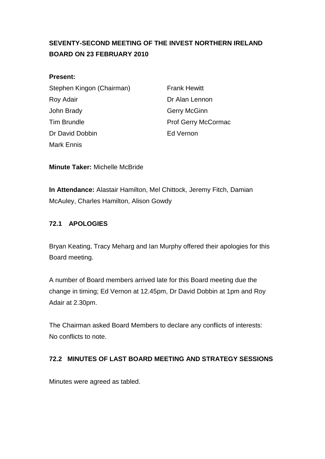# <span id="page-5-0"></span>**SEVENTY-SECOND MEETING OF THE INVEST NORTHERN IRELAND BOARD ON 23 FEBRUARY 2010**

#### **Present:**

| Stephen Kingon (Chairman) |  |
|---------------------------|--|
| Roy Adair                 |  |
| John Brady                |  |
| <b>Tim Brundle</b>        |  |
| Dr David Dobbin           |  |
| <b>Mark Ennis</b>         |  |

**Frank Hewitt** Dr Alan Lennon Gerry McGinn Prof Gerry McCormac **Fd Vernon** 

**Minute Taker:** Michelle McBride

**In Attendance:** Alastair Hamilton, Mel Chittock, Jeremy Fitch, Damian McAuley, Charles Hamilton, Alison Gowdy

### **72.1 APOLOGIES**

Bryan Keating, Tracy Meharg and Ian Murphy offered their apologies for this Board meeting.

A number of Board members arrived late for this Board meeting due the change in timing; Ed Vernon at 12.45pm, Dr David Dobbin at 1pm and Roy Adair at 2.30pm.

The Chairman asked Board Members to declare any conflicts of interests: No conflicts to note.

# **72.2 MINUTES OF LAST BOARD MEETING AND STRATEGY SESSIONS**

Minutes were agreed as tabled.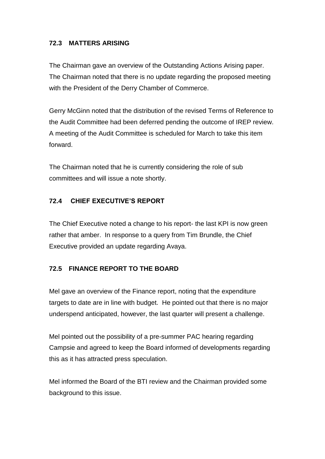### **72.3 MATTERS ARISING**

The Chairman gave an overview of the Outstanding Actions Arising paper. The Chairman noted that there is no update regarding the proposed meeting with the President of the Derry Chamber of Commerce.

Gerry McGinn noted that the distribution of the revised Terms of Reference to the Audit Committee had been deferred pending the outcome of IREP review. A meeting of the Audit Committee is scheduled for March to take this item forward.

The Chairman noted that he is currently considering the role of sub committees and will issue a note shortly.

#### **72.4 CHIEF EXECUTIVE'S REPORT**

The Chief Executive noted a change to his report- the last KPI is now green rather that amber. In response to a query from Tim Brundle, the Chief Executive provided an update regarding Avaya.

#### **72.5 FINANCE REPORT TO THE BOARD**

Mel gave an overview of the Finance report, noting that the expenditure targets to date are in line with budget. He pointed out that there is no major underspend anticipated, however, the last quarter will present a challenge.

Mel pointed out the possibility of a pre-summer PAC hearing regarding Campsie and agreed to keep the Board informed of developments regarding this as it has attracted press speculation.

Mel informed the Board of the BTI review and the Chairman provided some background to this issue.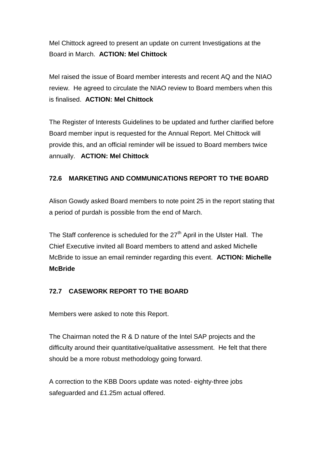Mel Chittock agreed to present an update on current Investigations at the Board in March. **ACTION: Mel Chittock**

Mel raised the issue of Board member interests and recent AQ and the NIAO review. He agreed to circulate the NIAO review to Board members when this is finalised. **ACTION: Mel Chittock**

The Register of Interests Guidelines to be updated and further clarified before Board member input is requested for the Annual Report. Mel Chittock will provide this, and an official reminder will be issued to Board members twice annually. **ACTION: Mel Chittock** 

# **72.6 MARKETING AND COMMUNICATIONS REPORT TO THE BOARD**

Alison Gowdy asked Board members to note point 25 in the report stating that a period of purdah is possible from the end of March.

The Staff conference is scheduled for the  $27<sup>th</sup>$  April in the Ulster Hall. The Chief Executive invited all Board members to attend and asked Michelle McBride to issue an email reminder regarding this event. **ACTION: Michelle McBride**

# **72.7 CASEWORK REPORT TO THE BOARD**

Members were asked to note this Report.

The Chairman noted the R & D nature of the Intel SAP projects and the difficulty around their quantitative/qualitative assessment. He felt that there should be a more robust methodology going forward.

A correction to the KBB Doors update was noted- eighty-three jobs safeguarded and £1.25m actual offered.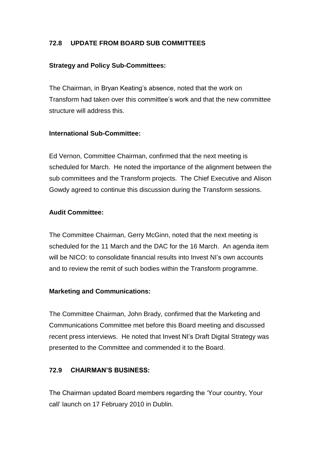### **72.8 UPDATE FROM BOARD SUB COMMITTEES**

#### **Strategy and Policy Sub-Committees:**

The Chairman, in Bryan Keating's absence, noted that the work on Transform had taken over this committee's work and that the new committee structure will address this.

#### **International Sub-Committee:**

Ed Vernon, Committee Chairman, confirmed that the next meeting is scheduled for March. He noted the importance of the alignment between the sub committees and the Transform projects. The Chief Executive and Alison Gowdy agreed to continue this discussion during the Transform sessions.

#### **Audit Committee:**

The Committee Chairman, Gerry McGinn, noted that the next meeting is scheduled for the 11 March and the DAC for the 16 March. An agenda item will be NICO: to consolidate financial results into Invest NI's own accounts and to review the remit of such bodies within the Transform programme.

### **Marketing and Communications:**

The Committee Chairman, John Brady, confirmed that the Marketing and Communications Committee met before this Board meeting and discussed recent press interviews. He noted that Invest NI's Draft Digital Strategy was presented to the Committee and commended it to the Board.

### **72.9 CHAIRMAN'S BUSINESS:**

The Chairman updated Board members regarding the 'Your country, Your call' launch on 17 February 2010 in Dublin.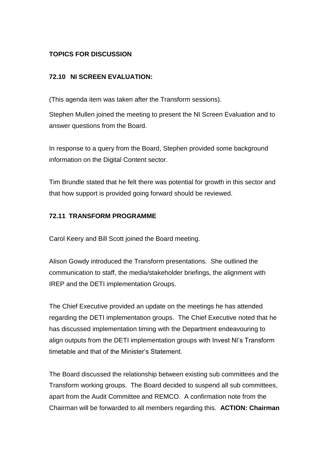### **TOPICS FOR DISCUSSION**

### **72.10 NI SCREEN EVALUATION:**

(This agenda item was taken after the Transform sessions).

Stephen Mullen joined the meeting to present the NI Screen Evaluation and to answer questions from the Board.

In response to a query from the Board, Stephen provided some background information on the Digital Content sector.

Tim Brundle stated that he felt there was potential for growth in this sector and that how support is provided going forward should be reviewed.

### **72.11 TRANSFORM PROGRAMME**

Carol Keery and Bill Scott joined the Board meeting.

Alison Gowdy introduced the Transform presentations. She outlined the communication to staff, the media/stakeholder briefings, the alignment with IREP and the DETI implementation Groups.

The Chief Executive provided an update on the meetings he has attended regarding the DETI implementation groups. The Chief Executive noted that he has discussed implementation timing with the Department endeavouring to align outputs from the DETI implementation groups with Invest NI's Transform timetable and that of the Minister's Statement.

The Board discussed the relationship between existing sub committees and the Transform working groups. The Board decided to suspend all sub committees, apart from the Audit Committee and REMCO. A confirmation note from the Chairman will be forwarded to all members regarding this. **ACTION: Chairman**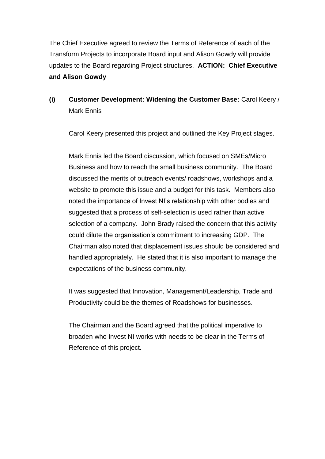The Chief Executive agreed to review the Terms of Reference of each of the Transform Projects to incorporate Board input and Alison Gowdy will provide updates to the Board regarding Project structures. **ACTION: Chief Executive and Alison Gowdy**

# **(i) Customer Development: Widening the Customer Base:** Carol Keery / Mark Ennis

Carol Keery presented this project and outlined the Key Project stages.

Mark Ennis led the Board discussion, which focused on SMEs/Micro Business and how to reach the small business community. The Board discussed the merits of outreach events/ roadshows, workshops and a website to promote this issue and a budget for this task. Members also noted the importance of Invest NI's relationship with other bodies and suggested that a process of self-selection is used rather than active selection of a company. John Brady raised the concern that this activity could dilute the organisation's commitment to increasing GDP. The Chairman also noted that displacement issues should be considered and handled appropriately. He stated that it is also important to manage the expectations of the business community.

It was suggested that Innovation, Management/Leadership, Trade and Productivity could be the themes of Roadshows for businesses.

The Chairman and the Board agreed that the political imperative to broaden who Invest NI works with needs to be clear in the Terms of Reference of this project.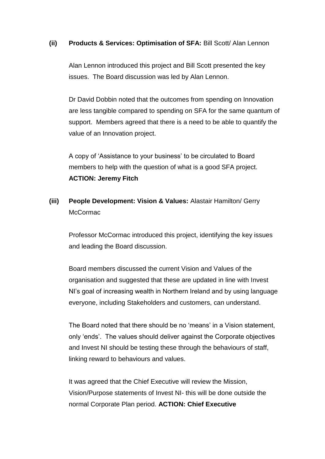#### **(ii) Products & Services: Optimisation of SFA:** Bill Scott/ Alan Lennon

Alan Lennon introduced this project and Bill Scott presented the key issues. The Board discussion was led by Alan Lennon.

Dr David Dobbin noted that the outcomes from spending on Innovation are less tangible compared to spending on SFA for the same quantum of support. Members agreed that there is a need to be able to quantify the value of an Innovation project.

A copy of 'Assistance to your business' to be circulated to Board members to help with the question of what is a good SFA project. **ACTION: Jeremy Fitch**

**(iii) People Development: Vision & Values:** Alastair Hamilton/ Gerry **McCormac** 

Professor McCormac introduced this project, identifying the key issues and leading the Board discussion.

Board members discussed the current Vision and Values of the organisation and suggested that these are updated in line with Invest NI's goal of increasing wealth in Northern Ireland and by using language everyone, including Stakeholders and customers, can understand.

The Board noted that there should be no 'means' in a Vision statement, only 'ends'. The values should deliver against the Corporate objectives and Invest NI should be testing these through the behaviours of staff, linking reward to behaviours and values.

It was agreed that the Chief Executive will review the Mission, Vision/Purpose statements of Invest NI- this will be done outside the normal Corporate Plan period. **ACTION: Chief Executive**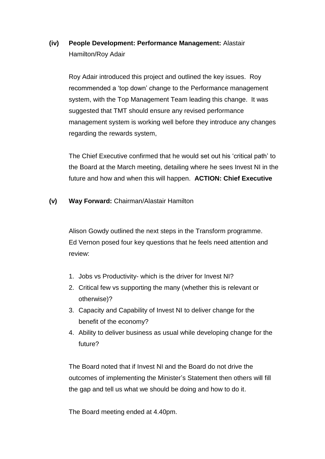# **(iv) People Development: Performance Management:** Alastair Hamilton/Roy Adair

Roy Adair introduced this project and outlined the key issues. Roy recommended a 'top down' change to the Performance management system, with the Top Management Team leading this change. It was suggested that TMT should ensure any revised performance management system is working well before they introduce any changes regarding the rewards system,

The Chief Executive confirmed that he would set out his 'critical path' to the Board at the March meeting, detailing where he sees Invest NI in the future and how and when this will happen. **ACTION: Chief Executive**

**(v) Way Forward:** Chairman/Alastair Hamilton

Alison Gowdy outlined the next steps in the Transform programme. Ed Vernon posed four key questions that he feels need attention and review:

- 1. Jobs vs Productivity- which is the driver for Invest NI?
- 2. Critical few vs supporting the many (whether this is relevant or otherwise)?
- 3. Capacity and Capability of Invest NI to deliver change for the benefit of the economy?
- 4. Ability to deliver business as usual while developing change for the future?

The Board noted that if Invest NI and the Board do not drive the outcomes of implementing the Minister's Statement then others will fill the gap and tell us what we should be doing and how to do it.

The Board meeting ended at 4.40pm.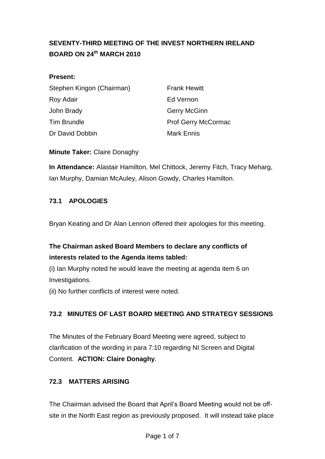# <span id="page-13-0"></span>**SEVENTY-THIRD MEETING OF THE INVEST NORTHERN IRELAND BOARD ON 24th MARCH 2010**

### **Present:**

| Stephen Kingon (Chairman) |  |
|---------------------------|--|
| Roy Adair                 |  |
| John Brady                |  |
| <b>Tim Brundle</b>        |  |
| Dr David Dobbin           |  |

**Frank Hewitt Fd Vernon** Gerry McGinn Prof Gerry McCormac Mark Ennis

**Minute Taker:** Claire Donaghy

**In Attendance:** Alastair Hamilton, Mel Chittock, Jeremy Fitch, Tracy Meharg, Ian Murphy, Damian McAuley, Alison Gowdy, Charles Hamilton.

# **73.1 APOLOGIES**

Bryan Keating and Dr Alan Lennon offered their apologies for this meeting.

# **The Chairman asked Board Members to declare any conflicts of interests related to the Agenda items tabled:**

(i) Ian Murphy noted he would leave the meeting at agenda item 6 on Investigations.

(ii) No further conflicts of interest were noted.

# **73.2 MINUTES OF LAST BOARD MEETING AND STRATEGY SESSIONS**

The Minutes of the February Board Meeting were agreed, subject to clarification of the wording in para 7:10 regarding NI Screen and Digital Content. **ACTION: Claire Donaghy**.

# **72.3 MATTERS ARISING**

The Chairman advised the Board that April's Board Meeting would not be offsite in the North East region as previously proposed. It will instead take place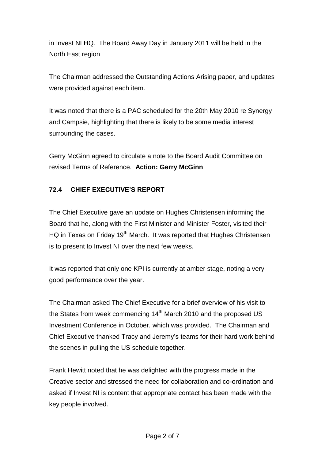in Invest NI HQ. The Board Away Day in January 2011 will be held in the North East region

The Chairman addressed the Outstanding Actions Arising paper, and updates were provided against each item.

It was noted that there is a PAC scheduled for the 20th May 2010 re Synergy and Campsie, highlighting that there is likely to be some media interest surrounding the cases.

Gerry McGinn agreed to circulate a note to the Board Audit Committee on revised Terms of Reference. **Action: Gerry McGinn**

# **72.4 CHIEF EXECUTIVE'S REPORT**

The Chief Executive gave an update on Hughes Christensen informing the Board that he, along with the First Minister and Minister Foster, visited their HQ in Texas on Friday 19<sup>th</sup> March. It was reported that Hughes Christensen is to present to Invest NI over the next few weeks.

It was reported that only one KPI is currently at amber stage, noting a very good performance over the year.

The Chairman asked The Chief Executive for a brief overview of his visit to the States from week commencing 14<sup>th</sup> March 2010 and the proposed US Investment Conference in October, which was provided. The Chairman and Chief Executive thanked Tracy and Jeremy's teams for their hard work behind the scenes in pulling the US schedule together.

Frank Hewitt noted that he was delighted with the progress made in the Creative sector and stressed the need for collaboration and co-ordination and asked if Invest NI is content that appropriate contact has been made with the key people involved.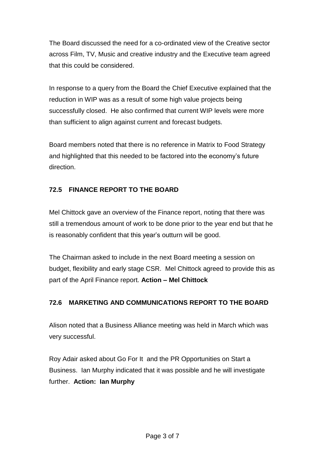The Board discussed the need for a co-ordinated view of the Creative sector across Film, TV, Music and creative industry and the Executive team agreed that this could be considered.

In response to a query from the Board the Chief Executive explained that the reduction in WIP was as a result of some high value projects being successfully closed. He also confirmed that current WIP levels were more than sufficient to align against current and forecast budgets.

Board members noted that there is no reference in Matrix to Food Strategy and highlighted that this needed to be factored into the economy's future direction.

# **72.5 FINANCE REPORT TO THE BOARD**

Mel Chittock gave an overview of the Finance report, noting that there was still a tremendous amount of work to be done prior to the year end but that he is reasonably confident that this year's outturn will be good.

The Chairman asked to include in the next Board meeting a session on budget, flexibility and early stage CSR. Mel Chittock agreed to provide this as part of the April Finance report. **Action – Mel Chittock**

# **72.6 MARKETING AND COMMUNICATIONS REPORT TO THE BOARD**

Alison noted that a Business Alliance meeting was held in March which was very successful.

Roy Adair asked about Go For It and the PR Opportunities on Start a Business. Ian Murphy indicated that it was possible and he will investigate further. **Action: Ian Murphy**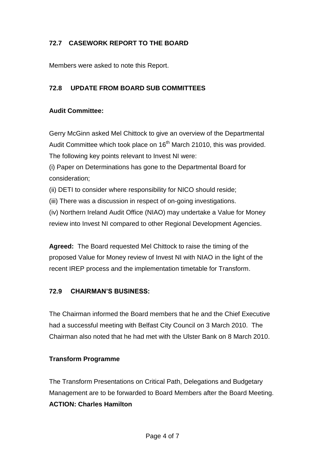# **72.7 CASEWORK REPORT TO THE BOARD**

Members were asked to note this Report.

### **72.8 UPDATE FROM BOARD SUB COMMITTEES**

#### **Audit Committee:**

Gerry McGinn asked Mel Chittock to give an overview of the Departmental Audit Committee which took place on  $16<sup>th</sup>$  March 21010, this was provided. The following key points relevant to Invest NI were:

(i) Paper on Determinations has gone to the Departmental Board for consideration;

(ii) DETI to consider where responsibility for NICO should reside;

(iii) There was a discussion in respect of on-going investigations.

(iv) Northern Ireland Audit Office (NIAO) may undertake a Value for Money review into Invest NI compared to other Regional Development Agencies.

**Agreed:** The Board requested Mel Chittock to raise the timing of the proposed Value for Money review of Invest NI with NIAO in the light of the recent IREP process and the implementation timetable for Transform.

### **72.9 CHAIRMAN'S BUSINESS:**

The Chairman informed the Board members that he and the Chief Executive had a successful meeting with Belfast City Council on 3 March 2010. The Chairman also noted that he had met with the Ulster Bank on 8 March 2010.

#### **Transform Programme**

The Transform Presentations on Critical Path, Delegations and Budgetary Management are to be forwarded to Board Members after the Board Meeting. **ACTION: Charles Hamilton**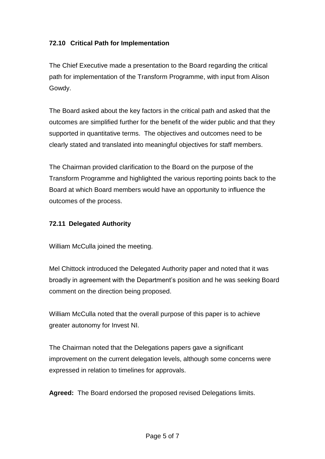## **72.10 Critical Path for Implementation**

The Chief Executive made a presentation to the Board regarding the critical path for implementation of the Transform Programme, with input from Alison Gowdy.

The Board asked about the key factors in the critical path and asked that the outcomes are simplified further for the benefit of the wider public and that they supported in quantitative terms. The objectives and outcomes need to be clearly stated and translated into meaningful objectives for staff members.

The Chairman provided clarification to the Board on the purpose of the Transform Programme and highlighted the various reporting points back to the Board at which Board members would have an opportunity to influence the outcomes of the process.

### **72.11 Delegated Authority**

William McCulla joined the meeting.

Mel Chittock introduced the Delegated Authority paper and noted that it was broadly in agreement with the Department's position and he was seeking Board comment on the direction being proposed.

William McCulla noted that the overall purpose of this paper is to achieve greater autonomy for Invest NI.

The Chairman noted that the Delegations papers gave a significant improvement on the current delegation levels, although some concerns were expressed in relation to timelines for approvals.

**Agreed:** The Board endorsed the proposed revised Delegations limits.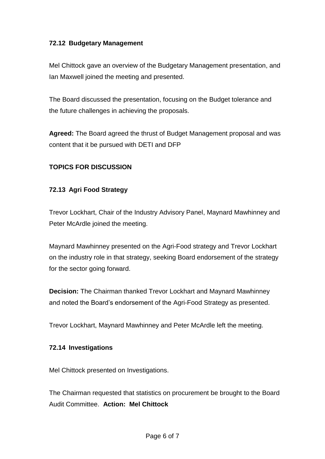### **72.12 Budgetary Management**

Mel Chittock gave an overview of the Budgetary Management presentation, and Ian Maxwell joined the meeting and presented.

The Board discussed the presentation, focusing on the Budget tolerance and the future challenges in achieving the proposals.

**Agreed:** The Board agreed the thrust of Budget Management proposal and was content that it be pursued with DETI and DFP

### **TOPICS FOR DISCUSSION**

### **72.13 Agri Food Strategy**

Trevor Lockhart, Chair of the Industry Advisory Panel, Maynard Mawhinney and Peter McArdle joined the meeting.

Maynard Mawhinney presented on the Agri-Food strategy and Trevor Lockhart on the industry role in that strategy, seeking Board endorsement of the strategy for the sector going forward.

**Decision:** The Chairman thanked Trevor Lockhart and Maynard Mawhinney and noted the Board's endorsement of the Agri-Food Strategy as presented.

Trevor Lockhart, Maynard Mawhinney and Peter McArdle left the meeting.

### **72.14 Investigations**

Mel Chittock presented on Investigations.

The Chairman requested that statistics on procurement be brought to the Board Audit Committee. **Action: Mel Chittock**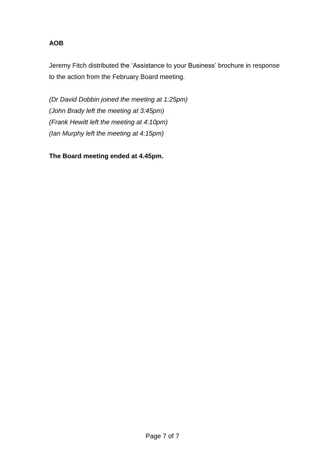## **AOB**

Jeremy Fitch distributed the 'Assistance to your Business' brochure in response to the action from the February Board meeting.

*(Dr David Dobbin joined the meeting at 1:25pm) (John Brady left the meeting at 3:45pm) (Frank Hewitt left the meeting at 4:10pm) (Ian Murphy left the meeting at 4:15pm)*

**The Board meeting ended at 4.45pm.**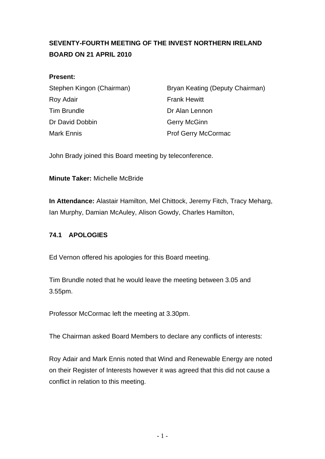# <span id="page-20-0"></span>**SEVENTY-FOURTH MEETING OF THE INVEST NORTHERN IRELAND BOARD ON 21 APRIL 2010**

### **Present:**

| Stephen Kingon (Chairman) |  |
|---------------------------|--|
| Roy Adair                 |  |
| <b>Tim Brundle</b>        |  |
| Dr David Dobbin           |  |
| Mark Ennis                |  |

Bryan Keating (Deputy Chairman) **Frank Hewitt** Dr Alan Lennon Gerry McGinn Prof Gerry McCormac

John Brady joined this Board meeting by teleconference.

**Minute Taker:** Michelle McBride

**In Attendance:** Alastair Hamilton, Mel Chittock, Jeremy Fitch, Tracy Meharg, Ian Murphy, Damian McAuley, Alison Gowdy, Charles Hamilton,

# **74.1 APOLOGIES**

Ed Vernon offered his apologies for this Board meeting.

Tim Brundle noted that he would leave the meeting between 3.05 and 3.55pm.

Professor McCormac left the meeting at 3.30pm.

The Chairman asked Board Members to declare any conflicts of interests:

Roy Adair and Mark Ennis noted that Wind and Renewable Energy are noted on their Register of Interests however it was agreed that this did not cause a conflict in relation to this meeting.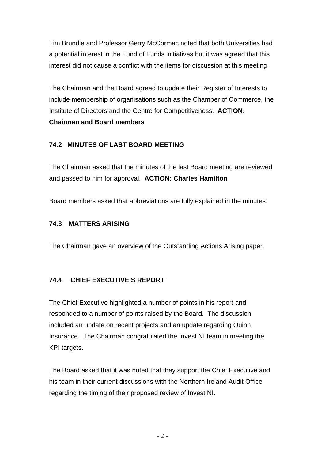Tim Brundle and Professor Gerry McCormac noted that both Universities had a potential interest in the Fund of Funds initiatives but it was agreed that this interest did not cause a conflict with the items for discussion at this meeting.

The Chairman and the Board agreed to update their Register of Interests to include membership of organisations such as the Chamber of Commerce, the Institute of Directors and the Centre for Competitiveness. **ACTION: Chairman and Board members**

# **74.2 MINUTES OF LAST BOARD MEETING**

The Chairman asked that the minutes of the last Board meeting are reviewed and passed to him for approval. **ACTION: Charles Hamilton** 

Board members asked that abbreviations are fully explained in the minutes*.* 

### **74.3 MATTERS ARISING**

The Chairman gave an overview of the Outstanding Actions Arising paper.

# **74.4 CHIEF EXECUTIVE'S REPORT**

The Chief Executive highlighted a number of points in his report and responded to a number of points raised by the Board. The discussion included an update on recent projects and an update regarding Quinn Insurance. The Chairman congratulated the Invest NI team in meeting the KPI targets.

The Board asked that it was noted that they support the Chief Executive and his team in their current discussions with the Northern Ireland Audit Office regarding the timing of their proposed review of Invest NI.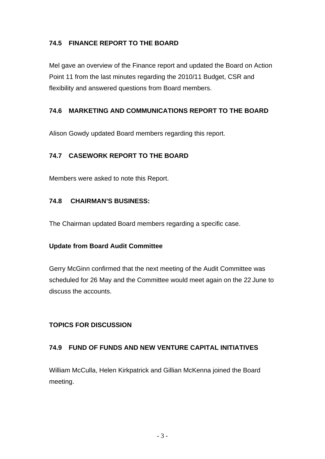### **74.5 FINANCE REPORT TO THE BOARD**

Mel gave an overview of the Finance report and updated the Board on Action Point 11 from the last minutes regarding the 2010/11 Budget, CSR and flexibility and answered questions from Board members.

### **74.6 MARKETING AND COMMUNICATIONS REPORT TO THE BOARD**

Alison Gowdy updated Board members regarding this report.

### **74.7 CASEWORK REPORT TO THE BOARD**

Members were asked to note this Report.

### **74.8 CHAIRMAN'S BUSINESS:**

The Chairman updated Board members regarding a specific case.

### **Update from Board Audit Committee**

Gerry McGinn confirmed that the next meeting of the Audit Committee was scheduled for 26 May and the Committee would meet again on the 22 June to discuss the accounts.

### **TOPICS FOR DISCUSSION**

### **74.9 FUND OF FUNDS AND NEW VENTURE CAPITAL INITIATIVES**

William McCulla, Helen Kirkpatrick and Gillian McKenna joined the Board meeting.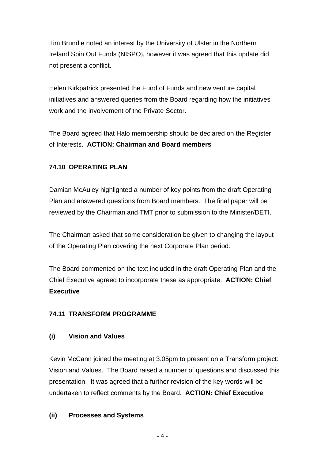Tim Brundle noted an interest by the University of Ulster in the Northern Ireland Spin Out Funds (NISPO), however it was agreed that this update did not present a conflict.

Helen Kirkpatrick presented the Fund of Funds and new venture capital initiatives and answered queries from the Board regarding how the initiatives work and the involvement of the Private Sector.

The Board agreed that Halo membership should be declared on the Register of Interests. **ACTION: Chairman and Board members** 

### **74.10 OPERATING PLAN**

Damian McAuley highlighted a number of key points from the draft Operating Plan and answered questions from Board members. The final paper will be reviewed by the Chairman and TMT prior to submission to the Minister/DETI.

The Chairman asked that some consideration be given to changing the layout of the Operating Plan covering the next Corporate Plan period.

The Board commented on the text included in the draft Operating Plan and the Chief Executive agreed to incorporate these as appropriate. **ACTION: Chief Executive**

### **74.11 TRANSFORM PROGRAMME**

### **(i) Vision and Values**

Kevin McCann joined the meeting at 3.05pm to present on a Transform project: Vision and Values. The Board raised a number of questions and discussed this presentation. It was agreed that a further revision of the key words will be undertaken to reflect comments by the Board. **ACTION: Chief Executive**

### **(ii) Processes and Systems**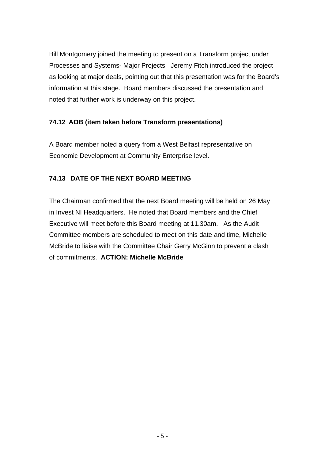Bill Montgomery joined the meeting to present on a Transform project under Processes and Systems- Major Projects. Jeremy Fitch introduced the project as looking at major deals, pointing out that this presentation was for the Board's information at this stage. Board members discussed the presentation and noted that further work is underway on this project.

# **74.12 AOB (item taken before Transform presentations)**

A Board member noted a query from a West Belfast representative on Economic Development at Community Enterprise level.

# **74.13 DATE OF THE NEXT BOARD MEETING**

The Chairman confirmed that the next Board meeting will be held on 26 May in Invest NI Headquarters. He noted that Board members and the Chief Executive will meet before this Board meeting at 11.30am. As the Audit Committee members are scheduled to meet on this date and time, Michelle McBride to liaise with the Committee Chair Gerry McGinn to prevent a clash of commitments. **ACTION: Michelle McBride**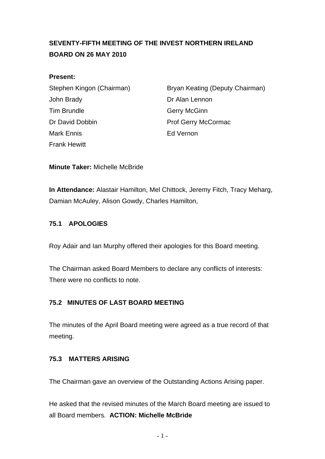# <span id="page-25-0"></span>**SEVENTY-FIFTH MEETING OF THE INVEST NORTHERN IRELAND BOARD ON 26 MAY 2010**

#### **Present:**

John Brady **Dr Alan Lennon** Tim Brundle **Gerry McGinn** Dr David Dobbin Prof Gerry McCormac Mark Ennis Ed Vernon Frank Hewitt

Stephen Kingon (Chairman) Bryan Keating (Deputy Chairman)

**Minute Taker:** Michelle McBride

**In Attendance:** Alastair Hamilton, Mel Chittock, Jeremy Fitch, Tracy Meharg, Damian McAuley, Alison Gowdy, Charles Hamilton,

### **75.1 APOLOGIES**

Roy Adair and Ian Murphy offered their apologies for this Board meeting.

The Chairman asked Board Members to declare any conflicts of interests: There were no conflicts to note.

### **75.2 MINUTES OF LAST BOARD MEETING**

The minutes of the April Board meeting were agreed as a true record of that meeting.

### **75.3 MATTERS ARISING**

The Chairman gave an overview of the Outstanding Actions Arising paper.

He asked that the revised minutes of the March Board meeting are issued to all Board members. **ACTION: Michelle McBride**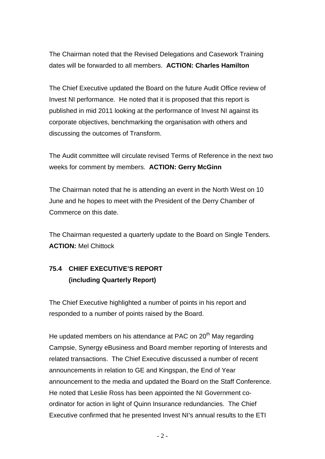The Chairman noted that the Revised Delegations and Casework Training dates will be forwarded to all members. **ACTION: Charles Hamilton** 

The Chief Executive updated the Board on the future Audit Office review of Invest NI performance. He noted that it is proposed that this report is published in mid 2011 looking at the performance of Invest NI against its corporate objectives, benchmarking the organisation with others and discussing the outcomes of Transform.

The Audit committee will circulate revised Terms of Reference in the next two weeks for comment by members. **ACTION: Gerry McGinn**

The Chairman noted that he is attending an event in the North West on 10 June and he hopes to meet with the President of the Derry Chamber of Commerce on this date.

The Chairman requested a quarterly update to the Board on Single Tenders. **ACTION:** Mel Chittock

# **75.4 CHIEF EXECUTIVE'S REPORT (including Quarterly Report)**

The Chief Executive highlighted a number of points in his report and responded to a number of points raised by the Board.

He updated members on his attendance at PAC on 20<sup>th</sup> May regarding Campsie, Synergy eBusiness and Board member reporting of Interests and related transactions. The Chief Executive discussed a number of recent announcements in relation to GE and Kingspan, the End of Year announcement to the media and updated the Board on the Staff Conference. He noted that Leslie Ross has been appointed the NI Government coordinator for action in light of Quinn Insurance redundancies. The Chief Executive confirmed that he presented Invest NI's annual results to the ETI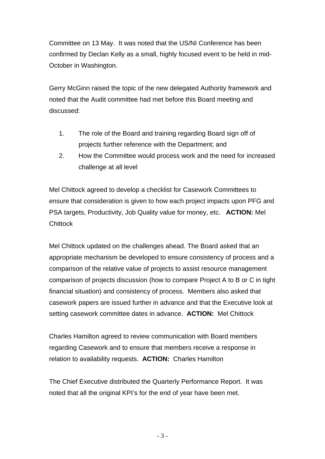Committee on 13 May. It was noted that the US/NI Conference has been confirmed by Declan Kelly as a small, highly focused event to be held in mid-October in Washington.

Gerry McGinn raised the topic of the new delegated Authority framework and noted that the Audit committee had met before this Board meeting and discussed:

- 1. The role of the Board and training regarding Board sign off of projects further reference with the Department; and
- 2. How the Committee would process work and the need for increased challenge at all level

Mel Chittock agreed to develop a checklist for Casework Committees to ensure that consideration is given to how each project impacts upon PFG and PSA targets, Productivity, Job Quality value for money, etc. **ACTION:** Mel **Chittock** 

Mel Chittock updated on the challenges ahead. The Board asked that an appropriate mechanism be developed to ensure consistency of process and a comparison of the relative value of projects to assist resource management comparison of projects discussion (how to compare Project A to B or C in tight financial situation) and consistency of process. Members also asked that casework papers are issued further in advance and that the Executive look at setting casework committee dates in advance. **ACTION:** Mel Chittock

Charles Hamilton agreed to review communication with Board members regarding Casework and to ensure that members receive a response in relation to availability requests. **ACTION:** Charles Hamilton

The Chief Executive distributed the Quarterly Performance Report. It was noted that all the original KPI's for the end of year have been met.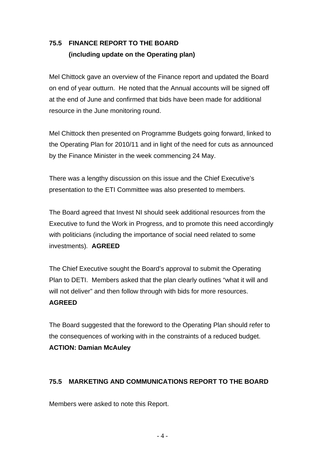# **75.5 FINANCE REPORT TO THE BOARD (including update on the Operating plan)**

Mel Chittock gave an overview of the Finance report and updated the Board on end of year outturn. He noted that the Annual accounts will be signed off at the end of June and confirmed that bids have been made for additional resource in the June monitoring round.

Mel Chittock then presented on Programme Budgets going forward, linked to the Operating Plan for 2010/11 and in light of the need for cuts as announced by the Finance Minister in the week commencing 24 May.

There was a lengthy discussion on this issue and the Chief Executive's presentation to the ETI Committee was also presented to members.

The Board agreed that Invest NI should seek additional resources from the Executive to fund the Work in Progress, and to promote this need accordingly with politicians (including the importance of social need related to some investments)*.* **AGREED**

The Chief Executive sought the Board's approval to submit the Operating Plan to DETI. Members asked that the plan clearly outlines "what it will and will not deliver" and then follow through with bids for more resources. **AGREED**

The Board suggested that the foreword to the Operating Plan should refer to the consequences of working with in the constraints of a reduced budget. **ACTION: Damian McAuley**

### **75.5 MARKETING AND COMMUNICATIONS REPORT TO THE BOARD**

Members were asked to note this Report.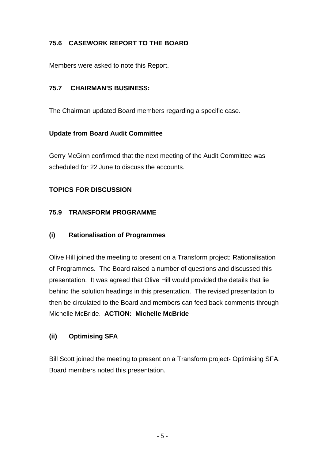# **75.6 CASEWORK REPORT TO THE BOARD**

Members were asked to note this Report.

### **75.7 CHAIRMAN'S BUSINESS:**

The Chairman updated Board members regarding a specific case.

### **Update from Board Audit Committee**

Gerry McGinn confirmed that the next meeting of the Audit Committee was scheduled for 22 June to discuss the accounts.

# **TOPICS FOR DISCUSSION**

### **75.9 TRANSFORM PROGRAMME**

### **(i) Rationalisation of Programmes**

Olive Hill joined the meeting to present on a Transform project: Rationalisation of Programmes. The Board raised a number of questions and discussed this presentation. It was agreed that Olive Hill would provided the details that lie behind the solution headings in this presentation. The revised presentation to then be circulated to the Board and members can feed back comments through Michelle McBride. **ACTION: Michelle McBride**

# **(ii) Optimising SFA**

Bill Scott joined the meeting to present on a Transform project- Optimising SFA. Board members noted this presentation.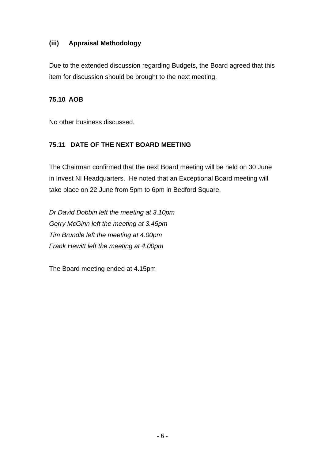### **(iii) Appraisal Methodology**

Due to the extended discussion regarding Budgets, the Board agreed that this item for discussion should be brought to the next meeting.

### **75.10 AOB**

No other business discussed.

# **75.11 DATE OF THE NEXT BOARD MEETING**

The Chairman confirmed that the next Board meeting will be held on 30 June in Invest NI Headquarters. He noted that an Exceptional Board meeting will take place on 22 June from 5pm to 6pm in Bedford Square.

*Dr David Dobbin left the meeting at 3.10pm Gerry McGinn left the meeting at 3.45pm Tim Brundle left the meeting at 4.00pm Frank Hewitt left the meeting at 4.00pm* 

The Board meeting ended at 4.15pm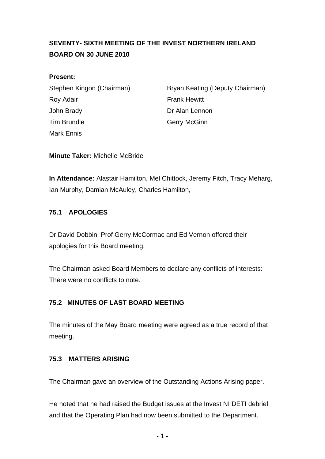# <span id="page-31-0"></span>**SEVENTY- SIXTH MEETING OF THE INVEST NORTHERN IRELAND BOARD ON 30 JUNE 2010**

#### **Present:**

Roy Adair **Frank Hewitt** John Brady **Dr Alan Lennon** Tim Brundle Gerry McGinn Mark Ennis

Stephen Kingon (Chairman) Bryan Keating (Deputy Chairman)

**Minute Taker:** Michelle McBride

**In Attendance:** Alastair Hamilton, Mel Chittock, Jeremy Fitch, Tracy Meharg, Ian Murphy, Damian McAuley, Charles Hamilton,

### **75.1 APOLOGIES**

Dr David Dobbin, Prof Gerry McCormac and Ed Vernon offered their apologies for this Board meeting.

The Chairman asked Board Members to declare any conflicts of interests: There were no conflicts to note.

# **75.2 MINUTES OF LAST BOARD MEETING**

The minutes of the May Board meeting were agreed as a true record of that meeting.

### **75.3 MATTERS ARISING**

The Chairman gave an overview of the Outstanding Actions Arising paper.

He noted that he had raised the Budget issues at the Invest NI DETI debrief and that the Operating Plan had now been submitted to the Department.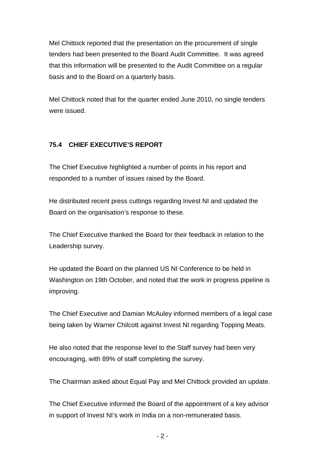Mel Chittock reported that the presentation on the procurement of single tenders had been presented to the Board Audit Committee. It was agreed that this information will be presented to the Audit Committee on a regular basis and to the Board on a quarterly basis.

Mel Chittock noted that for the quarter ended June 2010, no single tenders were issued.

# **75.4 CHIEF EXECUTIVE'S REPORT**

The Chief Executive highlighted a number of points in his report and responded to a number of issues raised by the Board.

He distributed recent press cuttings regarding Invest NI and updated the Board on the organisation's response to these.

The Chief Executive thanked the Board for their feedback in relation to the Leadership survey.

He updated the Board on the planned US NI Conference to be held in Washington on 19th October, and noted that the work in progress pipeline is improving.

The Chief Executive and Damian McAuley informed members of a legal case being taken by Warner Chilcott against Invest NI regarding Topping Meats.

He also noted that the response level to the Staff survey had been very encouraging, with 89% of staff completing the survey.

The Chairman asked about Equal Pay and Mel Chittock provided an update.

The Chief Executive informed the Board of the appointment of a key advisor in support of Invest NI's work in India on a non-remunerated basis.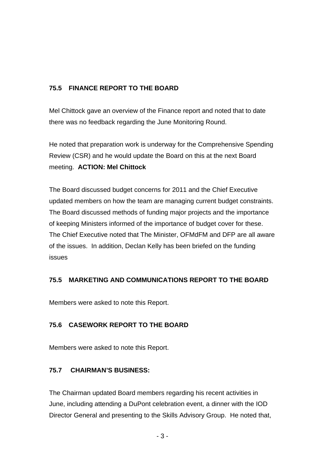# **75.5 FINANCE REPORT TO THE BOARD**

Mel Chittock gave an overview of the Finance report and noted that to date there was no feedback regarding the June Monitoring Round.

He noted that preparation work is underway for the Comprehensive Spending Review (CSR) and he would update the Board on this at the next Board meeting. **ACTION: Mel Chittock**

The Board discussed budget concerns for 2011 and the Chief Executive updated members on how the team are managing current budget constraints. The Board discussed methods of funding major projects and the importance of keeping Ministers informed of the importance of budget cover for these. The Chief Executive noted that The Minister, OFMdFM and DFP are all aware of the issues. In addition, Declan Kelly has been briefed on the funding issues

# **75.5 MARKETING AND COMMUNICATIONS REPORT TO THE BOARD**

Members were asked to note this Report.

# **75.6 CASEWORK REPORT TO THE BOARD**

Members were asked to note this Report.

# **75.7 CHAIRMAN'S BUSINESS:**

The Chairman updated Board members regarding his recent activities in June, including attending a DuPont celebration event, a dinner with the IOD Director General and presenting to the Skills Advisory Group. He noted that,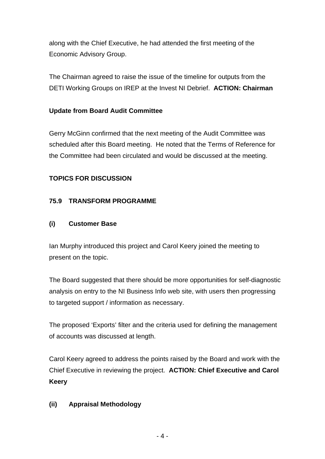along with the Chief Executive, he had attended the first meeting of the Economic Advisory Group.

The Chairman agreed to raise the issue of the timeline for outputs from the DETI Working Groups on IREP at the Invest NI Debrief. **ACTION: Chairman**

# **Update from Board Audit Committee**

Gerry McGinn confirmed that the next meeting of the Audit Committee was scheduled after this Board meeting. He noted that the Terms of Reference for the Committee had been circulated and would be discussed at the meeting.

# **TOPICS FOR DISCUSSION**

# **75.9 TRANSFORM PROGRAMME**

# **(i) Customer Base**

Ian Murphy introduced this project and Carol Keery joined the meeting to present on the topic.

The Board suggested that there should be more opportunities for self-diagnostic analysis on entry to the NI Business Info web site, with users then progressing to targeted support / information as necessary.

The proposed 'Exports' filter and the criteria used for defining the management of accounts was discussed at length.

Carol Keery agreed to address the points raised by the Board and work with the Chief Executive in reviewing the project. **ACTION: Chief Executive and Carol Keery**

# **(ii) Appraisal Methodology**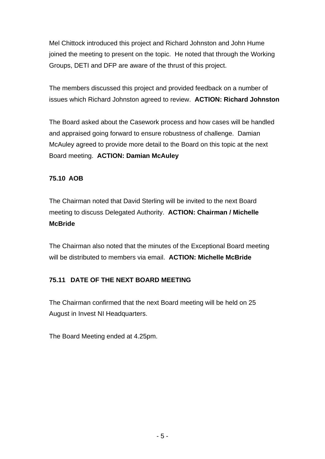Mel Chittock introduced this project and Richard Johnston and John Hume joined the meeting to present on the topic. He noted that through the Working Groups, DETI and DFP are aware of the thrust of this project.

The members discussed this project and provided feedback on a number of issues which Richard Johnston agreed to review. **ACTION: Richard Johnston**

The Board asked about the Casework process and how cases will be handled and appraised going forward to ensure robustness of challenge. Damian McAuley agreed to provide more detail to the Board on this topic at the next Board meeting. **ACTION: Damian McAuley**

# **75.10 AOB**

The Chairman noted that David Sterling will be invited to the next Board meeting to discuss Delegated Authority. **ACTION: Chairman / Michelle McBride**

The Chairman also noted that the minutes of the Exceptional Board meeting will be distributed to members via email. **ACTION: Michelle McBride** 

# **75.11 DATE OF THE NEXT BOARD MEETING**

The Chairman confirmed that the next Board meeting will be held on 25 August in Invest NI Headquarters.

The Board Meeting ended at 4.25pm.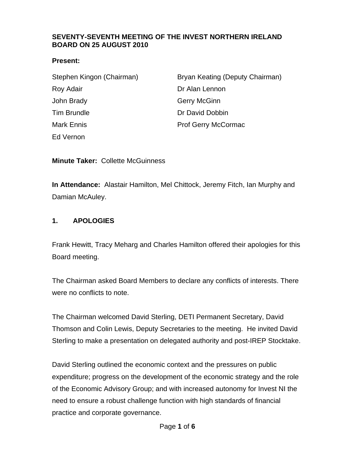#### <span id="page-36-0"></span>**SEVENTY-SEVENTH MEETING OF THE INVEST NORTHERN IRELAND BOARD ON 25 AUGUST 2010**

#### **Present:**

| Stephen Kingon (Chairman) | Bryan Keating (Deputy Chairman) |
|---------------------------|---------------------------------|
| Roy Adair                 | Dr Alan Lennon                  |
| John Brady                | <b>Gerry McGinn</b>             |
| <b>Tim Brundle</b>        | Dr David Dobbin                 |
| Mark Ennis                | Prof Gerry McCormac             |
| Ed Vernon                 |                                 |

**Minute Taker:** Collette McGuinness

**In Attendance:** Alastair Hamilton, Mel Chittock, Jeremy Fitch, Ian Murphy and Damian McAuley.

### **1. APOLOGIES**

Frank Hewitt, Tracy Meharg and Charles Hamilton offered their apologies for this Board meeting.

The Chairman asked Board Members to declare any conflicts of interests. There were no conflicts to note.

The Chairman welcomed David Sterling, DETI Permanent Secretary, David Thomson and Colin Lewis, Deputy Secretaries to the meeting. He invited David Sterling to make a presentation on delegated authority and post-IREP Stocktake.

David Sterling outlined the economic context and the pressures on public expenditure; progress on the development of the economic strategy and the role of the Economic Advisory Group; and with increased autonomy for Invest NI the need to ensure a robust challenge function with high standards of financial practice and corporate governance.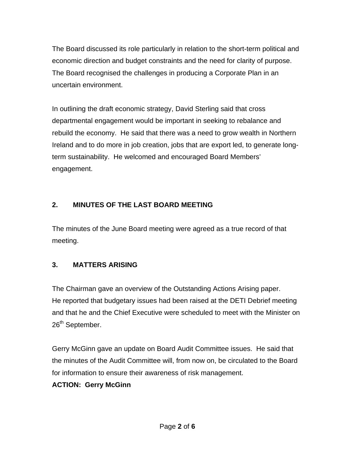The Board discussed its role particularly in relation to the short-term political and economic direction and budget constraints and the need for clarity of purpose. The Board recognised the challenges in producing a Corporate Plan in an uncertain environment.

In outlining the draft economic strategy, David Sterling said that cross departmental engagement would be important in seeking to rebalance and rebuild the economy. He said that there was a need to grow wealth in Northern Ireland and to do more in job creation, jobs that are export led, to generate longterm sustainability. He welcomed and encouraged Board Members' engagement.

# **2. MINUTES OF THE LAST BOARD MEETING**

The minutes of the June Board meeting were agreed as a true record of that meeting.

# **3. MATTERS ARISING**

The Chairman gave an overview of the Outstanding Actions Arising paper. He reported that budgetary issues had been raised at the DETI Debrief meeting and that he and the Chief Executive were scheduled to meet with the Minister on 26<sup>th</sup> September.

Gerry McGinn gave an update on Board Audit Committee issues. He said that the minutes of the Audit Committee will, from now on, be circulated to the Board for information to ensure their awareness of risk management.

# **ACTION: Gerry McGinn**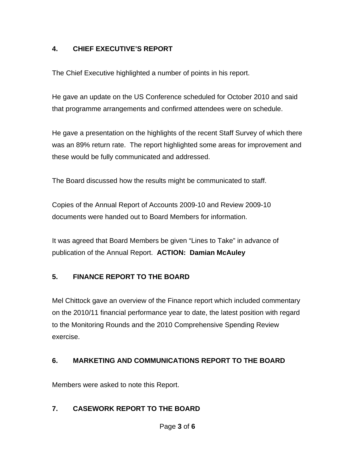# **4. CHIEF EXECUTIVE'S REPORT**

The Chief Executive highlighted a number of points in his report.

He gave an update on the US Conference scheduled for October 2010 and said that programme arrangements and confirmed attendees were on schedule.

He gave a presentation on the highlights of the recent Staff Survey of which there was an 89% return rate. The report highlighted some areas for improvement and these would be fully communicated and addressed.

The Board discussed how the results might be communicated to staff.

Copies of the Annual Report of Accounts 2009-10 and Review 2009-10 documents were handed out to Board Members for information.

It was agreed that Board Members be given "Lines to Take" in advance of publication of the Annual Report. **ACTION: Damian McAuley** 

# **5. FINANCE REPORT TO THE BOARD**

Mel Chittock gave an overview of the Finance report which included commentary on the 2010/11 financial performance year to date, the latest position with regard to the Monitoring Rounds and the 2010 Comprehensive Spending Review exercise.

# **6. MARKETING AND COMMUNICATIONS REPORT TO THE BOARD**

Members were asked to note this Report.

# **7. CASEWORK REPORT TO THE BOARD**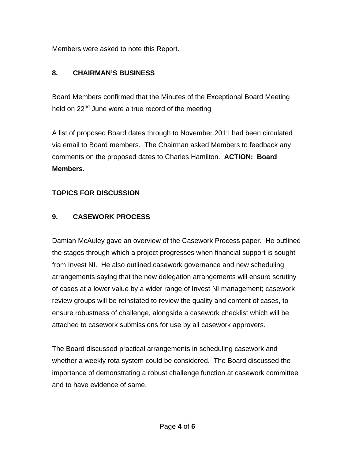Members were asked to note this Report.

# **8. CHAIRMAN'S BUSINESS**

Board Members confirmed that the Minutes of the Exceptional Board Meeting held on 22<sup>nd</sup> June were a true record of the meeting.

A list of proposed Board dates through to November 2011 had been circulated via email to Board members. The Chairman asked Members to feedback any comments on the proposed dates to Charles Hamilton. **ACTION: Board Members.** 

# **TOPICS FOR DISCUSSION**

# **9. CASEWORK PROCESS**

Damian McAuley gave an overview of the Casework Process paper. He outlined the stages through which a project progresses when financial support is sought from Invest NI. He also outlined casework governance and new scheduling arrangements saying that the new delegation arrangements will ensure scrutiny of cases at a lower value by a wider range of Invest NI management; casework review groups will be reinstated to review the quality and content of cases, to ensure robustness of challenge, alongside a casework checklist which will be attached to casework submissions for use by all casework approvers.

The Board discussed practical arrangements in scheduling casework and whether a weekly rota system could be considered. The Board discussed the importance of demonstrating a robust challenge function at casework committee and to have evidence of same.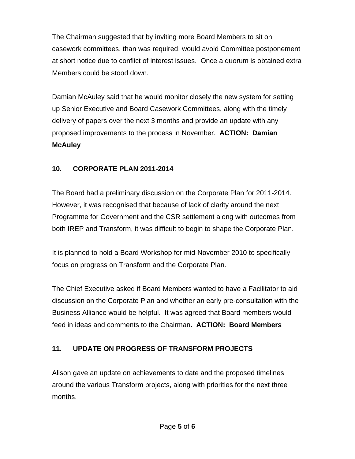The Chairman suggested that by inviting more Board Members to sit on casework committees, than was required, would avoid Committee postponement at short notice due to conflict of interest issues. Once a quorum is obtained extra Members could be stood down.

Damian McAuley said that he would monitor closely the new system for setting up Senior Executive and Board Casework Committees, along with the timely delivery of papers over the next 3 months and provide an update with any proposed improvements to the process in November. **ACTION: Damian McAuley**

## **10. CORPORATE PLAN 2011-2014**

The Board had a preliminary discussion on the Corporate Plan for 2011-2014. However, it was recognised that because of lack of clarity around the next Programme for Government and the CSR settlement along with outcomes from both IREP and Transform, it was difficult to begin to shape the Corporate Plan.

It is planned to hold a Board Workshop for mid-November 2010 to specifically focus on progress on Transform and the Corporate Plan.

The Chief Executive asked if Board Members wanted to have a Facilitator to aid discussion on the Corporate Plan and whether an early pre-consultation with the Business Alliance would be helpful. It was agreed that Board members would feed in ideas and comments to the Chairman**. ACTION: Board Members** 

## **11. UPDATE ON PROGRESS OF TRANSFORM PROJECTS**

Alison gave an update on achievements to date and the proposed timelines around the various Transform projects, along with priorities for the next three months.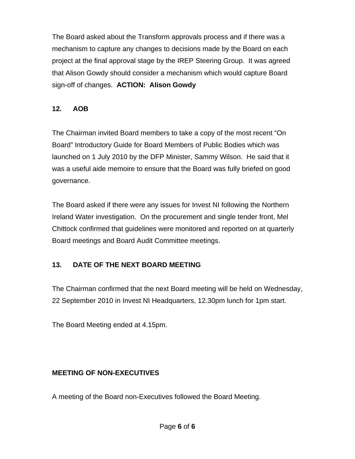The Board asked about the Transform approvals process and if there was a mechanism to capture any changes to decisions made by the Board on each project at the final approval stage by the IREP Steering Group. It was agreed that Alison Gowdy should consider a mechanism which would capture Board sign-off of changes. **ACTION: Alison Gowdy** 

### **12. AOB**

The Chairman invited Board members to take a copy of the most recent "On Board" Introductory Guide for Board Members of Public Bodies which was launched on 1 July 2010 by the DFP Minister, Sammy Wilson. He said that it was a useful aide memoire to ensure that the Board was fully briefed on good governance.

The Board asked if there were any issues for Invest NI following the Northern Ireland Water investigation. On the procurement and single tender front, Mel Chittock confirmed that guidelines were monitored and reported on at quarterly Board meetings and Board Audit Committee meetings.

## **13. DATE OF THE NEXT BOARD MEETING**

The Chairman confirmed that the next Board meeting will be held on Wednesday, 22 September 2010 in Invest NI Headquarters, 12.30pm lunch for 1pm start.

The Board Meeting ended at 4.15pm.

## **MEETING OF NON-EXECUTIVES**

A meeting of the Board non-Executives followed the Board Meeting.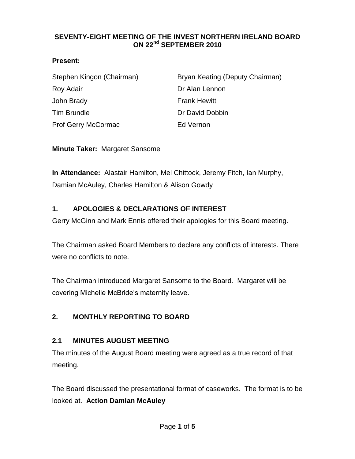### <span id="page-42-0"></span>**SEVENTY-EIGHT MEETING OF THE INVEST NORTHERN IRELAND BOARD ON 22nd SEPTEMBER 2010**

### **Present:**

| Stephen Kingon (Chairman)  | Bryan Keating (Deputy Chairman) |
|----------------------------|---------------------------------|
| Roy Adair                  | Dr Alan Lennon                  |
| John Brady                 | <b>Frank Hewitt</b>             |
| <b>Tim Brundle</b>         | Dr David Dobbin                 |
| <b>Prof Gerry McCormac</b> | Ed Vernon                       |

**Minute Taker:** Margaret Sansome

**In Attendance:** Alastair Hamilton, Mel Chittock, Jeremy Fitch, Ian Murphy, Damian McAuley, Charles Hamilton & Alison Gowdy

## **1. APOLOGIES & DECLARATIONS OF INTEREST**

Gerry McGinn and Mark Ennis offered their apologies for this Board meeting.

The Chairman asked Board Members to declare any conflicts of interests. There were no conflicts to note.

The Chairman introduced Margaret Sansome to the Board. Margaret will be covering Michelle McBride's maternity leave.

# **2. MONTHLY REPORTING TO BOARD**

## **2.1 MINUTES AUGUST MEETING**

The minutes of the August Board meeting were agreed as a true record of that meeting.

The Board discussed the presentational format of caseworks. The format is to be looked at. **Action Damian McAuley**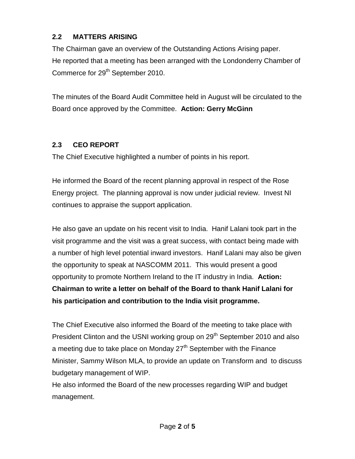# **2.2 MATTERS ARISING**

The Chairman gave an overview of the Outstanding Actions Arising paper. He reported that a meeting has been arranged with the Londonderry Chamber of Commerce for 29<sup>th</sup> September 2010.

The minutes of the Board Audit Committee held in August will be circulated to the Board once approved by the Committee. **Action: Gerry McGinn**

# **2.3 CEO REPORT**

The Chief Executive highlighted a number of points in his report.

He informed the Board of the recent planning approval in respect of the Rose Energy project. The planning approval is now under judicial review. Invest NI continues to appraise the support application.

He also gave an update on his recent visit to India. Hanif Lalani took part in the visit programme and the visit was a great success, with contact being made with a number of high level potential inward investors. Hanif Lalani may also be given the opportunity to speak at NASCOMM 2011. This would present a good opportunity to promote Northern Ireland to the IT industry in India. **Action: Chairman to write a letter on behalf of the Board to thank Hanif Lalani for his participation and contribution to the India visit programme.**

The Chief Executive also informed the Board of the meeting to take place with President Clinton and the USNI working group on 29<sup>th</sup> September 2010 and also a meeting due to take place on Monday 27<sup>th</sup> September with the Finance Minister, Sammy Wilson MLA, to provide an update on Transform and to discuss budgetary management of WIP.

He also informed the Board of the new processes regarding WIP and budget management.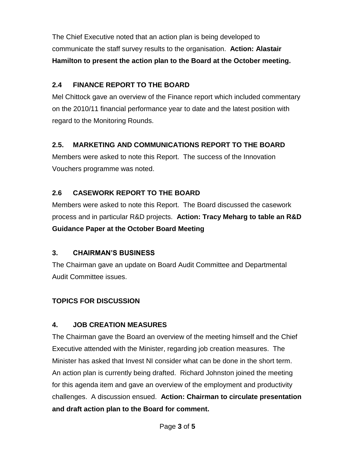The Chief Executive noted that an action plan is being developed to communicate the staff survey results to the organisation. **Action: Alastair Hamilton to present the action plan to the Board at the October meeting.**

# **2.4 FINANCE REPORT TO THE BOARD**

Mel Chittock gave an overview of the Finance report which included commentary on the 2010/11 financial performance year to date and the latest position with regard to the Monitoring Rounds.

# **2.5. MARKETING AND COMMUNICATIONS REPORT TO THE BOARD**

Members were asked to note this Report. The success of the Innovation Vouchers programme was noted.

# **2.6 CASEWORK REPORT TO THE BOARD**

Members were asked to note this Report. The Board discussed the casework process and in particular R&D projects. **Action: Tracy Meharg to table an R&D Guidance Paper at the October Board Meeting**

# **3. CHAIRMAN'S BUSINESS**

The Chairman gave an update on Board Audit Committee and Departmental Audit Committee issues.

# **TOPICS FOR DISCUSSION**

# **4. JOB CREATION MEASURES**

The Chairman gave the Board an overview of the meeting himself and the Chief Executive attended with the Minister, regarding job creation measures. The Minister has asked that Invest NI consider what can be done in the short term. An action plan is currently being drafted. Richard Johnston joined the meeting for this agenda item and gave an overview of the employment and productivity challenges. A discussion ensued. **Action: Chairman to circulate presentation and draft action plan to the Board for comment.**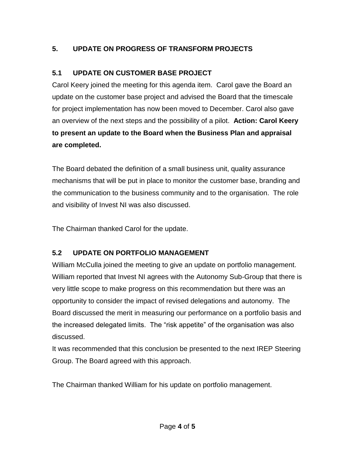# **5. UPDATE ON PROGRESS OF TRANSFORM PROJECTS**

# **5.1 UPDATE ON CUSTOMER BASE PROJECT**

Carol Keery joined the meeting for this agenda item. Carol gave the Board an update on the customer base project and advised the Board that the timescale for project implementation has now been moved to December. Carol also gave an overview of the next steps and the possibility of a pilot. **Action: Carol Keery to present an update to the Board when the Business Plan and appraisal are completed.** 

The Board debated the definition of a small business unit, quality assurance mechanisms that will be put in place to monitor the customer base, branding and the communication to the business community and to the organisation. The role and visibility of Invest NI was also discussed.

The Chairman thanked Carol for the update.

# **5.2 UPDATE ON PORTFOLIO MANAGEMENT**

William McCulla joined the meeting to give an update on portfolio management. William reported that Invest NI agrees with the Autonomy Sub-Group that there is very little scope to make progress on this recommendation but there was an opportunity to consider the impact of revised delegations and autonomy. The Board discussed the merit in measuring our performance on a portfolio basis and the increased delegated limits. The "risk appetite" of the organisation was also discussed.

It was recommended that this conclusion be presented to the next IREP Steering Group. The Board agreed with this approach.

The Chairman thanked William for his update on portfolio management.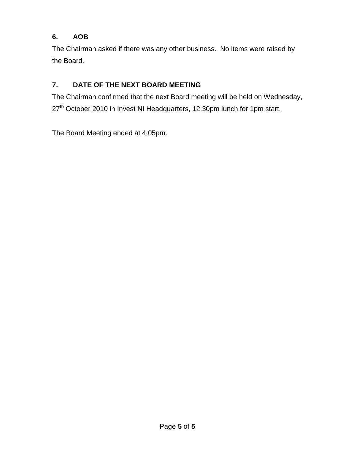# **6. AOB**

The Chairman asked if there was any other business. No items were raised by the Board.

# **7. DATE OF THE NEXT BOARD MEETING**

The Chairman confirmed that the next Board meeting will be held on Wednesday, 27<sup>th</sup> October 2010 in Invest NI Headquarters, 12.30pm lunch for 1pm start.

The Board Meeting ended at 4.05pm.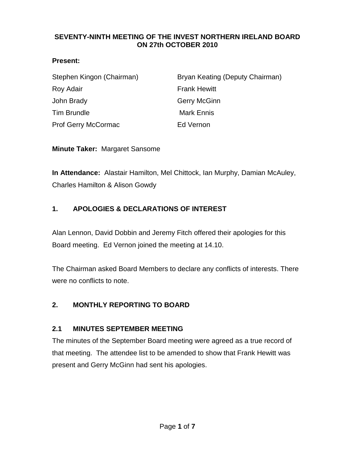### <span id="page-47-0"></span>**SEVENTY-NINTH MEETING OF THE INVEST NORTHERN IRELAND BOARD ON 27th OCTOBER 2010**

### **Present:**

| Stephen Kingon (Chairman)  | Bryan Keating (Deputy Chairman) |
|----------------------------|---------------------------------|
| Roy Adair                  | <b>Frank Hewitt</b>             |
| John Brady                 | <b>Gerry McGinn</b>             |
| <b>Tim Brundle</b>         | <b>Mark Ennis</b>               |
| <b>Prof Gerry McCormac</b> | Ed Vernon                       |

**Minute Taker:** Margaret Sansome

**In Attendance:** Alastair Hamilton, Mel Chittock, Ian Murphy, Damian McAuley, Charles Hamilton & Alison Gowdy

# **1. APOLOGIES & DECLARATIONS OF INTEREST**

Alan Lennon, David Dobbin and Jeremy Fitch offered their apologies for this Board meeting. Ed Vernon joined the meeting at 14.10.

The Chairman asked Board Members to declare any conflicts of interests. There were no conflicts to note.

## **2. MONTHLY REPORTING TO BOARD**

## **2.1 MINUTES SEPTEMBER MEETING**

The minutes of the September Board meeting were agreed as a true record of that meeting. The attendee list to be amended to show that Frank Hewitt was present and Gerry McGinn had sent his apologies.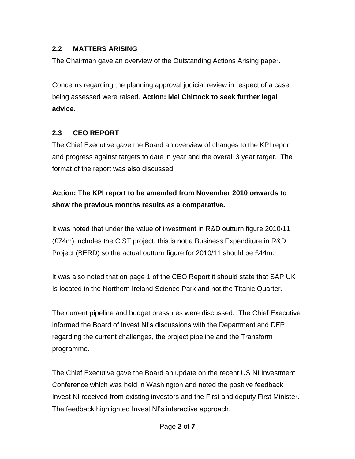# **2.2 MATTERS ARISING**

The Chairman gave an overview of the Outstanding Actions Arising paper.

Concerns regarding the planning approval judicial review in respect of a case being assessed were raised. **Action: Mel Chittock to seek further legal advice.** 

## **2.3 CEO REPORT**

The Chief Executive gave the Board an overview of changes to the KPI report and progress against targets to date in year and the overall 3 year target. The format of the report was also discussed.

# **Action: The KPI report to be amended from November 2010 onwards to show the previous months results as a comparative.**

It was noted that under the value of investment in R&D outturn figure 2010/11 (£74m) includes the CIST project, this is not a Business Expenditure in R&D Project (BERD) so the actual outturn figure for 2010/11 should be £44m.

It was also noted that on page 1 of the CEO Report it should state that SAP UK Is located in the Northern Ireland Science Park and not the Titanic Quarter.

The current pipeline and budget pressures were discussed. The Chief Executive informed the Board of Invest NI's discussions with the Department and DFP regarding the current challenges, the project pipeline and the Transform programme.

The Chief Executive gave the Board an update on the recent US NI Investment Conference which was held in Washington and noted the positive feedback Invest NI received from existing investors and the First and deputy First Minister. The feedback highlighted Invest NI's interactive approach.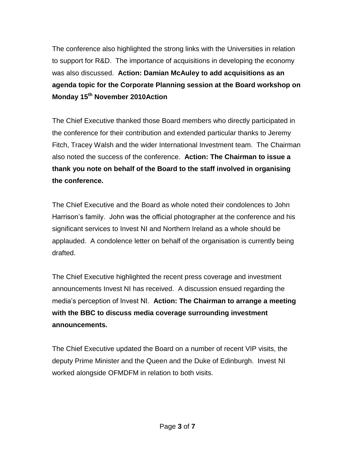The conference also highlighted the strong links with the Universities in relation to support for R&D. The importance of acquisitions in developing the economy was also discussed. **Action: Damian McAuley to add acquisitions as an agenda topic for the Corporate Planning session at the Board workshop on Monday 15th November 2010Action** 

The Chief Executive thanked those Board members who directly participated in the conference for their contribution and extended particular thanks to Jeremy Fitch, Tracey Walsh and the wider International Investment team. The Chairman also noted the success of the conference. **Action: The Chairman to issue a thank you note on behalf of the Board to the staff involved in organising the conference.**

The Chief Executive and the Board as whole noted their condolences to John Harrison's family. John was the official photographer at the conference and his significant services to Invest NI and Northern Ireland as a whole should be applauded. A condolence letter on behalf of the organisation is currently being drafted.

The Chief Executive highlighted the recent press coverage and investment announcements Invest NI has received. A discussion ensued regarding the media's perception of Invest NI. **Action: The Chairman to arrange a meeting with the BBC to discuss media coverage surrounding investment announcements.**

The Chief Executive updated the Board on a number of recent VIP visits, the deputy Prime Minister and the Queen and the Duke of Edinburgh. Invest NI worked alongside OFMDFM in relation to both visits.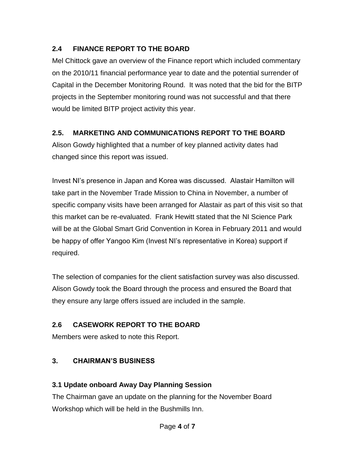# **2.4 FINANCE REPORT TO THE BOARD**

Mel Chittock gave an overview of the Finance report which included commentary on the 2010/11 financial performance year to date and the potential surrender of Capital in the December Monitoring Round. It was noted that the bid for the BITP projects in the September monitoring round was not successful and that there would be limited BITP project activity this year.

# **2.5. MARKETING AND COMMUNICATIONS REPORT TO THE BOARD**

Alison Gowdy highlighted that a number of key planned activity dates had changed since this report was issued.

Invest NI's presence in Japan and Korea was discussed. Alastair Hamilton will take part in the November Trade Mission to China in November, a number of specific company visits have been arranged for Alastair as part of this visit so that this market can be re-evaluated. Frank Hewitt stated that the NI Science Park will be at the Global Smart Grid Convention in Korea in February 2011 and would be happy of offer Yangoo Kim (Invest NI's representative in Korea) support if required.

The selection of companies for the client satisfaction survey was also discussed. Alison Gowdy took the Board through the process and ensured the Board that they ensure any large offers issued are included in the sample.

# **2.6 CASEWORK REPORT TO THE BOARD**

Members were asked to note this Report.

# **3. CHAIRMAN'S BUSINESS**

# **3.1 Update onboard Away Day Planning Session**

The Chairman gave an update on the planning for the November Board Workshop which will be held in the Bushmills Inn.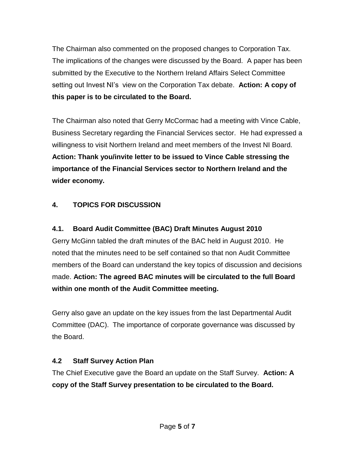The Chairman also commented on the proposed changes to Corporation Tax. The implications of the changes were discussed by the Board. A paper has been submitted by the Executive to the Northern Ireland Affairs Select Committee setting out Invest NI's view on the Corporation Tax debate. **Action: A copy of this paper is to be circulated to the Board.** 

The Chairman also noted that Gerry McCormac had a meeting with Vince Cable, Business Secretary regarding the Financial Services sector. He had expressed a willingness to visit Northern Ireland and meet members of the Invest NI Board. **Action: Thank you/invite letter to be issued to Vince Cable stressing the importance of the Financial Services sector to Northern Ireland and the wider economy.** 

# **4. TOPICS FOR DISCUSSION**

# **4.1. Board Audit Committee (BAC) Draft Minutes August 2010**

Gerry McGinn tabled the draft minutes of the BAC held in August 2010. He noted that the minutes need to be self contained so that non Audit Committee members of the Board can understand the key topics of discussion and decisions made. **Action: The agreed BAC minutes will be circulated to the full Board within one month of the Audit Committee meeting.**

Gerry also gave an update on the key issues from the last Departmental Audit Committee (DAC). The importance of corporate governance was discussed by the Board.

# **4.2 Staff Survey Action Plan**

The Chief Executive gave the Board an update on the Staff Survey. **Action: A copy of the Staff Survey presentation to be circulated to the Board.**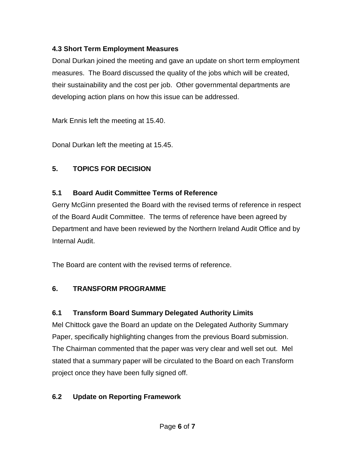# **4.3 Short Term Employment Measures**

Donal Durkan joined the meeting and gave an update on short term employment measures. The Board discussed the quality of the jobs which will be created, their sustainability and the cost per job. Other governmental departments are developing action plans on how this issue can be addressed.

Mark Ennis left the meeting at 15.40.

Donal Durkan left the meeting at 15.45.

# **5. TOPICS FOR DECISION**

# **5.1 Board Audit Committee Terms of Reference**

Gerry McGinn presented the Board with the revised terms of reference in respect of the Board Audit Committee. The terms of reference have been agreed by Department and have been reviewed by the Northern Ireland Audit Office and by Internal Audit.

The Board are content with the revised terms of reference.

# **6. TRANSFORM PROGRAMME**

# **6.1 Transform Board Summary Delegated Authority Limits**

Mel Chittock gave the Board an update on the Delegated Authority Summary Paper, specifically highlighting changes from the previous Board submission. The Chairman commented that the paper was very clear and well set out. Mel stated that a summary paper will be circulated to the Board on each Transform project once they have been fully signed off.

# **6.2 Update on Reporting Framework**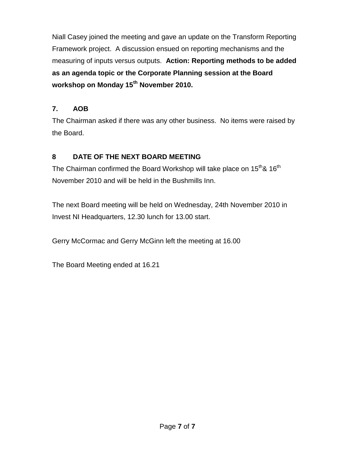Niall Casey joined the meeting and gave an update on the Transform Reporting Framework project. A discussion ensued on reporting mechanisms and the measuring of inputs versus outputs. **Action: Reporting methods to be added as an agenda topic or the Corporate Planning session at the Board workshop on Monday 15th November 2010.**

# **7. AOB**

The Chairman asked if there was any other business. No items were raised by the Board.

# **8 DATE OF THE NEXT BOARD MEETING**

The Chairman confirmed the Board Workshop will take place on  $15<sup>th</sup>$ &  $16<sup>th</sup>$ November 2010 and will be held in the Bushmills Inn.

The next Board meeting will be held on Wednesday, 24th November 2010 in Invest NI Headquarters, 12.30 lunch for 13.00 start.

Gerry McCormac and Gerry McGinn left the meeting at 16.00

The Board Meeting ended at 16.21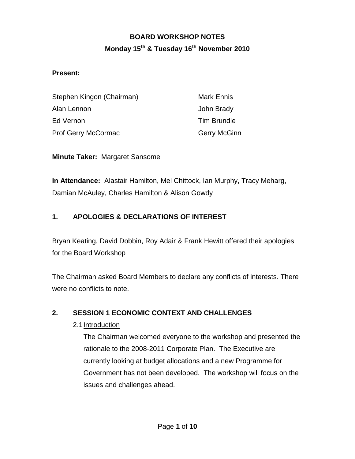# **BOARD WORKSHOP NOTES Monday 15th & Tuesday 16th November 2010**

### <span id="page-54-0"></span>**Present:**

| Stephen Kingon (Chairman)  | <b>Mark Ennis</b>   |
|----------------------------|---------------------|
| Alan Lennon                | John Brady          |
| Ed Vernon                  | <b>Tim Brundle</b>  |
| <b>Prof Gerry McCormac</b> | <b>Gerry McGinn</b> |

**Minute Taker:** Margaret Sansome

**In Attendance:** Alastair Hamilton, Mel Chittock, Ian Murphy, Tracy Meharg, Damian McAuley, Charles Hamilton & Alison Gowdy

## **1. APOLOGIES & DECLARATIONS OF INTEREST**

Bryan Keating, David Dobbin, Roy Adair & Frank Hewitt offered their apologies for the Board Workshop

The Chairman asked Board Members to declare any conflicts of interests. There were no conflicts to note.

## **2. SESSION 1 ECONOMIC CONTEXT AND CHALLENGES**

## 2.1Introduction

The Chairman welcomed everyone to the workshop and presented the rationale to the 2008-2011 Corporate Plan. The Executive are currently looking at budget allocations and a new Programme for Government has not been developed. The workshop will focus on the issues and challenges ahead.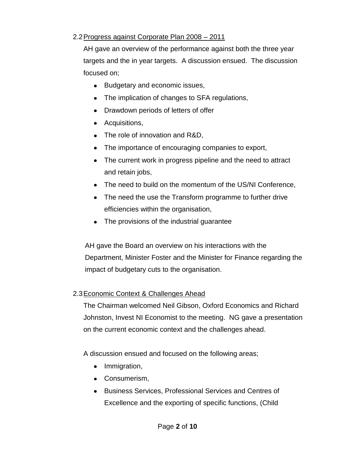## 2.2Progress against Corporate Plan 2008 – 2011

AH gave an overview of the performance against both the three year targets and the in year targets. A discussion ensued. The discussion focused on;

- Budgetary and economic issues,
- The implication of changes to SFA regulations,
- Drawdown periods of letters of offer
- Acquisitions,
- The role of innovation and R&D,
- The importance of encouraging companies to export,
- The current work in progress pipeline and the need to attract and retain jobs,
- The need to build on the momentum of the US/NI Conference,
- The need the use the Transform programme to further drive efficiencies within the organisation,
- The provisions of the industrial guarantee

AH gave the Board an overview on his interactions with the Department, Minister Foster and the Minister for Finance regarding the impact of budgetary cuts to the organisation.

## 2.3Economic Context & Challenges Ahead

The Chairman welcomed Neil Gibson, Oxford Economics and Richard Johnston, Invest NI Economist to the meeting. NG gave a presentation on the current economic context and the challenges ahead.

A discussion ensued and focused on the following areas;

- Immigration,
- Consumerism,
- Business Services, Professional Services and Centres of Excellence and the exporting of specific functions, (Child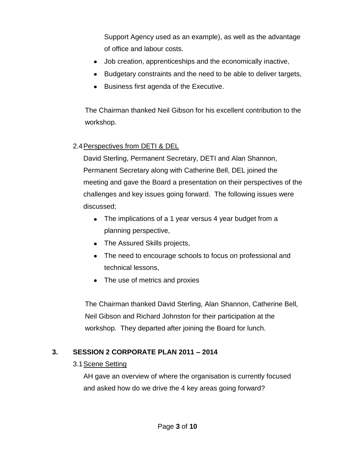Support Agency used as an example), as well as the advantage of office and labour costs.

- Job creation, apprenticeships and the economically inactive,
- Budgetary constraints and the need to be able to deliver targets,
- Business first agenda of the Executive.

The Chairman thanked Neil Gibson for his excellent contribution to the workshop.

#### 2.4Perspectives from DETI & DEL

David Sterling, Permanent Secretary, DETI and Alan Shannon, Permanent Secretary along with Catherine Bell, DEL joined the meeting and gave the Board a presentation on their perspectives of the challenges and key issues going forward. The following issues were discussed;

- The implications of a 1 year versus 4 year budget from a planning perspective,
- The Assured Skills projects,
- The need to encourage schools to focus on professional and technical lessons,
- The use of metrics and proxies

The Chairman thanked David Sterling, Alan Shannon, Catherine Bell, Neil Gibson and Richard Johnston for their participation at the workshop. They departed after joining the Board for lunch.

#### **3. SESSION 2 CORPORATE PLAN 2011 – 2014**

#### 3.1Scene Setting

AH gave an overview of where the organisation is currently focused and asked how do we drive the 4 key areas going forward?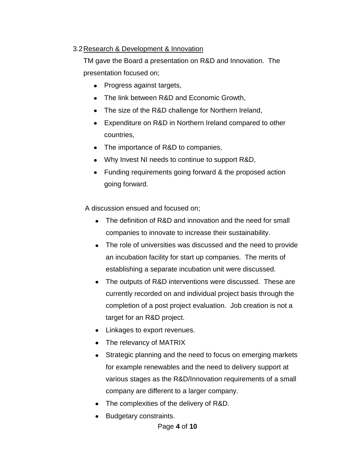## 3.2Research & Development & Innovation

TM gave the Board a presentation on R&D and Innovation. The presentation focused on;

- Progress against targets,
- The link between R&D and Economic Growth,
- The size of the R&D challenge for Northern Ireland,
- Expenditure on R&D in Northern Ireland compared to other countries,
- The importance of R&D to companies,
- Why Invest NI needs to continue to support R&D,
- Funding requirements going forward & the proposed action going forward.

A discussion ensued and focused on;

- The definition of R&D and innovation and the need for small companies to innovate to increase their sustainability.
- The role of universities was discussed and the need to provide an incubation facility for start up companies. The merits of establishing a separate incubation unit were discussed.
- The outputs of R&D interventions were discussed. These are currently recorded on and individual project basis through the completion of a post project evaluation. Job creation is not a target for an R&D project.
- Linkages to export revenues.
- The relevancy of MATRIX
- Strategic planning and the need to focus on emerging markets for example renewables and the need to delivery support at various stages as the R&D/Innovation requirements of a small company are different to a larger company.
- The complexities of the delivery of R&D.
- **Budgetary constraints.**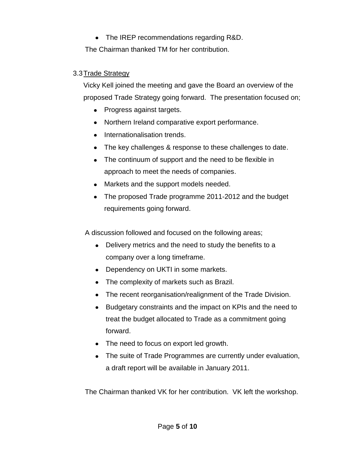The IREP recommendations regarding R&D. The Chairman thanked TM for her contribution.

## 3.3Trade Strategy

Vicky Kell joined the meeting and gave the Board an overview of the proposed Trade Strategy going forward. The presentation focused on;

- Progress against targets.
- Northern Ireland comparative export performance.
- Internationalisation trends.
- The key challenges & response to these challenges to date.
- The continuum of support and the need to be flexible in approach to meet the needs of companies.
- Markets and the support models needed.
- The proposed Trade programme 2011-2012 and the budget requirements going forward.

A discussion followed and focused on the following areas;

- Delivery metrics and the need to study the benefits to a company over a long timeframe.
- Dependency on UKTI in some markets.
- The complexity of markets such as Brazil.
- The recent reorganisation/realignment of the Trade Division.
- Budgetary constraints and the impact on KPIs and the need to treat the budget allocated to Trade as a commitment going forward.
- The need to focus on export led growth.
- The suite of Trade Programmes are currently under evaluation, a draft report will be available in January 2011.

The Chairman thanked VK for her contribution. VK left the workshop.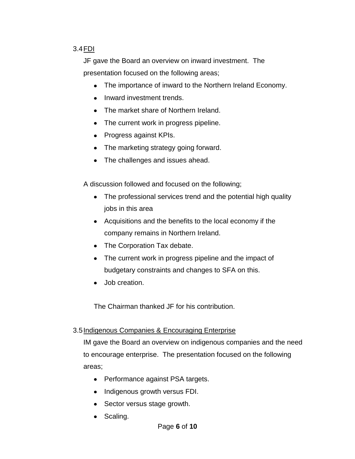# 3.4FDI

JF gave the Board an overview on inward investment. The presentation focused on the following areas;

- The importance of inward to the Northern Ireland Economy.
- Inward investment trends.
- The market share of Northern Ireland.
- The current work in progress pipeline.
- Progress against KPIs.
- The marketing strategy going forward.
- The challenges and issues ahead.

A discussion followed and focused on the following;

- The professional services trend and the potential high quality jobs in this area
- Acquisitions and the benefits to the local economy if the company remains in Northern Ireland.
- The Corporation Tax debate.
- The current work in progress pipeline and the impact of budgetary constraints and changes to SFA on this.
- Job creation.

The Chairman thanked JF for his contribution.

## 3.5 Indigenous Companies & Encouraging Enterprise

IM gave the Board an overview on indigenous companies and the need to encourage enterprise. The presentation focused on the following areas;

- Performance against PSA targets.
- Indigenous growth versus FDI.
- Sector versus stage growth.
- Scaling.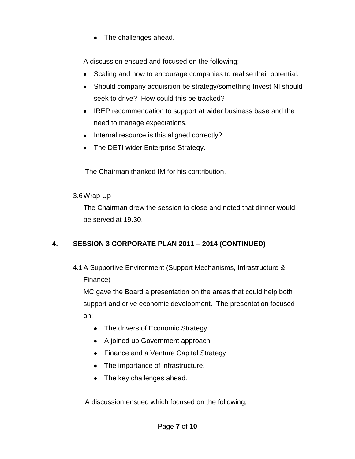The challenges ahead.  $\bullet$ 

A discussion ensued and focused on the following;

- Scaling and how to encourage companies to realise their potential.
- Should company acquisition be strategy/something Invest NI should  $\bullet$ seek to drive? How could this be tracked?
- IREP recommendation to support at wider business base and the need to manage expectations.
- Internal resource is this aligned correctly?
- The DETI wider Enterprise Strategy.

The Chairman thanked IM for his contribution.

## 3.6Wrap Up

The Chairman drew the session to close and noted that dinner would be served at 19.30.

# **4. SESSION 3 CORPORATE PLAN 2011 – 2014 (CONTINUED)**

# 4.1A Supportive Environment (Support Mechanisms, Infrastructure & Finance)

MC gave the Board a presentation on the areas that could help both support and drive economic development. The presentation focused on;

- The drivers of Economic Strategy.
- A joined up Government approach.
- Finance and a Venture Capital Strategy
- The importance of infrastructure.
- The key challenges ahead.

A discussion ensued which focused on the following;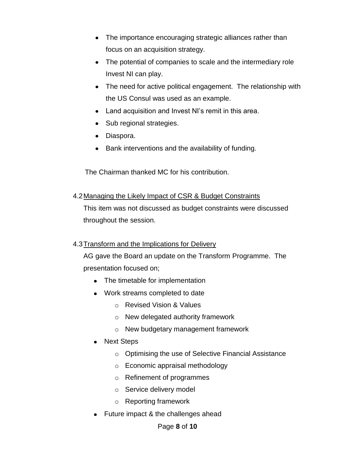- The importance encouraging strategic alliances rather than focus on an acquisition strategy.
- The potential of companies to scale and the intermediary role Invest NI can play.
- The need for active political engagement. The relationship with the US Consul was used as an example.
- Land acquisition and Invest NI's remit in this area.
- Sub regional strategies.
- Diaspora.
- Bank interventions and the availability of funding.

The Chairman thanked MC for his contribution.

## 4.2Managing the Likely Impact of CSR & Budget Constraints

This item was not discussed as budget constraints were discussed throughout the session.

## 4.3Transform and the Implications for Delivery

AG gave the Board an update on the Transform Programme. The presentation focused on;

- The timetable for implementation
- Work streams completed to date
	- o Revised Vision & Values
	- o New delegated authority framework
	- o New budgetary management framework
- Next Steps
	- o Optimising the use of Selective Financial Assistance
	- o Economic appraisal methodology
	- o Refinement of programmes
	- o Service delivery model
	- o Reporting framework
- Future impact & the challenges ahead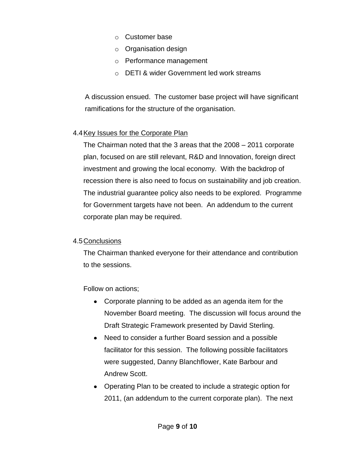- o Customer base
- o Organisation design
- o Performance management
- o DETI & wider Government led work streams

A discussion ensued. The customer base project will have significant ramifications for the structure of the organisation.

# 4.4Key Issues for the Corporate Plan

The Chairman noted that the 3 areas that the 2008 – 2011 corporate plan, focused on are still relevant, R&D and Innovation, foreign direct investment and growing the local economy. With the backdrop of recession there is also need to focus on sustainability and job creation. The industrial guarantee policy also needs to be explored. Programme for Government targets have not been. An addendum to the current corporate plan may be required.

## 4.5Conclusions

The Chairman thanked everyone for their attendance and contribution to the sessions.

Follow on actions;

- Corporate planning to be added as an agenda item for the November Board meeting. The discussion will focus around the Draft Strategic Framework presented by David Sterling.
- Need to consider a further Board session and a possible facilitator for this session. The following possible facilitators were suggested, Danny Blanchflower, Kate Barbour and Andrew Scott.
- Operating Plan to be created to include a strategic option for 2011, (an addendum to the current corporate plan). The next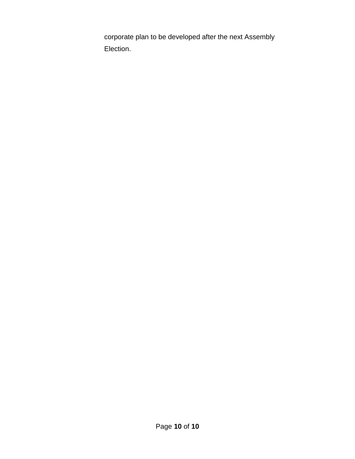corporate plan to be developed after the next Assembly Election.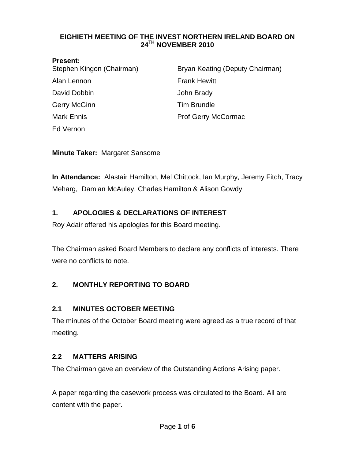#### <span id="page-64-0"></span>**EIGHIETH MEETING OF THE INVEST NORTHERN IRELAND BOARD ON 24TH NOVEMBER 2010**

#### **Present:**

| .<br>Stephen Kingon (Chairman) | Bryan Keating (Deputy Chairman) |
|--------------------------------|---------------------------------|
| Alan Lennon                    | <b>Frank Hewitt</b>             |
| David Dobbin                   | John Brady                      |
| Gerry McGinn                   | <b>Tim Brundle</b>              |
| <b>Mark Ennis</b>              | <b>Prof Gerry McCormac</b>      |
| Ed Vernon                      |                                 |

**Minute Taker:** Margaret Sansome

**In Attendance:** Alastair Hamilton, Mel Chittock, Ian Murphy, Jeremy Fitch, Tracy Meharg, Damian McAuley, Charles Hamilton & Alison Gowdy

# **1. APOLOGIES & DECLARATIONS OF INTEREST**

Roy Adair offered his apologies for this Board meeting.

The Chairman asked Board Members to declare any conflicts of interests. There were no conflicts to note.

# **2. MONTHLY REPORTING TO BOARD**

## **2.1 MINUTES OCTOBER MEETING**

The minutes of the October Board meeting were agreed as a true record of that meeting.

# **2.2 MATTERS ARISING**

The Chairman gave an overview of the Outstanding Actions Arising paper.

A paper regarding the casework process was circulated to the Board. All are content with the paper.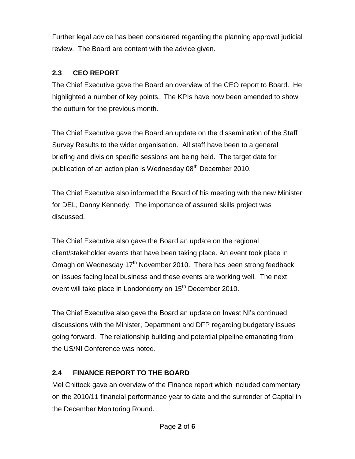Further legal advice has been considered regarding the planning approval judicial review. The Board are content with the advice given.

# **2.3 CEO REPORT**

The Chief Executive gave the Board an overview of the CEO report to Board. He highlighted a number of key points. The KPIs have now been amended to show the outturn for the previous month.

The Chief Executive gave the Board an update on the dissemination of the Staff Survey Results to the wider organisation. All staff have been to a general briefing and division specific sessions are being held. The target date for publication of an action plan is Wednesday 08<sup>th</sup> December 2010.

The Chief Executive also informed the Board of his meeting with the new Minister for DEL, Danny Kennedy. The importance of assured skills project was discussed.

The Chief Executive also gave the Board an update on the regional client/stakeholder events that have been taking place. An event took place in Omagh on Wednesday  $17<sup>th</sup>$  November 2010. There has been strong feedback on issues facing local business and these events are working well. The next event will take place in Londonderry on 15<sup>th</sup> December 2010.

The Chief Executive also gave the Board an update on Invest NI's continued discussions with the Minister, Department and DFP regarding budgetary issues going forward. The relationship building and potential pipeline emanating from the US/NI Conference was noted.

# **2.4 FINANCE REPORT TO THE BOARD**

Mel Chittock gave an overview of the Finance report which included commentary on the 2010/11 financial performance year to date and the surrender of Capital in the December Monitoring Round.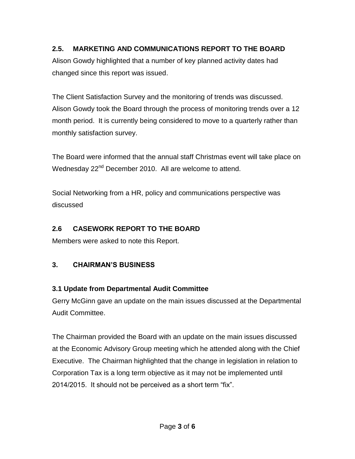# **2.5. MARKETING AND COMMUNICATIONS REPORT TO THE BOARD**

Alison Gowdy highlighted that a number of key planned activity dates had changed since this report was issued.

The Client Satisfaction Survey and the monitoring of trends was discussed. Alison Gowdy took the Board through the process of monitoring trends over a 12 month period. It is currently being considered to move to a quarterly rather than monthly satisfaction survey.

The Board were informed that the annual staff Christmas event will take place on Wednesday 22<sup>nd</sup> December 2010. All are welcome to attend.

Social Networking from a HR, policy and communications perspective was discussed

# **2.6 CASEWORK REPORT TO THE BOARD**

Members were asked to note this Report.

# **3. CHAIRMAN'S BUSINESS**

# **3.1 Update from Departmental Audit Committee**

Gerry McGinn gave an update on the main issues discussed at the Departmental Audit Committee.

The Chairman provided the Board with an update on the main issues discussed at the Economic Advisory Group meeting which he attended along with the Chief Executive. The Chairman highlighted that the change in legislation in relation to Corporation Tax is a long term objective as it may not be implemented until 2014/2015. It should not be perceived as a short term "fix".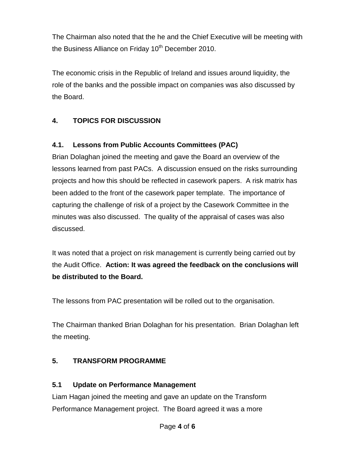The Chairman also noted that the he and the Chief Executive will be meeting with the Business Alliance on Friday 10<sup>th</sup> December 2010.

The economic crisis in the Republic of Ireland and issues around liquidity, the role of the banks and the possible impact on companies was also discussed by the Board.

# **4. TOPICS FOR DISCUSSION**

# **4.1. Lessons from Public Accounts Committees (PAC)**

Brian Dolaghan joined the meeting and gave the Board an overview of the lessons learned from past PACs. A discussion ensued on the risks surrounding projects and how this should be reflected in casework papers. A risk matrix has been added to the front of the casework paper template. The importance of capturing the challenge of risk of a project by the Casework Committee in the minutes was also discussed. The quality of the appraisal of cases was also discussed.

It was noted that a project on risk management is currently being carried out by the Audit Office. **Action: It was agreed the feedback on the conclusions will be distributed to the Board.**

The lessons from PAC presentation will be rolled out to the organisation.

The Chairman thanked Brian Dolaghan for his presentation. Brian Dolaghan left the meeting.

## **5. TRANSFORM PROGRAMME**

## **5.1 Update on Performance Management**

Liam Hagan joined the meeting and gave an update on the Transform Performance Management project. The Board agreed it was a more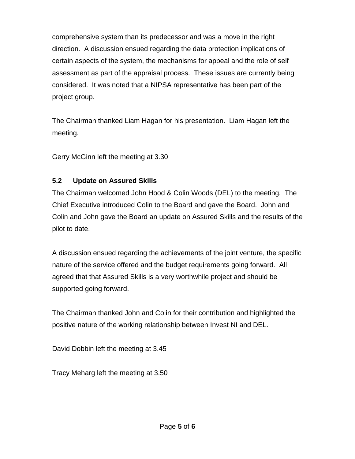comprehensive system than its predecessor and was a move in the right direction. A discussion ensued regarding the data protection implications of certain aspects of the system, the mechanisms for appeal and the role of self assessment as part of the appraisal process. These issues are currently being considered. It was noted that a NIPSA representative has been part of the project group.

The Chairman thanked Liam Hagan for his presentation. Liam Hagan left the meeting.

Gerry McGinn left the meeting at 3.30

## **5.2 Update on Assured Skills**

The Chairman welcomed John Hood & Colin Woods (DEL) to the meeting. The Chief Executive introduced Colin to the Board and gave the Board. John and Colin and John gave the Board an update on Assured Skills and the results of the pilot to date.

A discussion ensued regarding the achievements of the joint venture, the specific nature of the service offered and the budget requirements going forward. All agreed that that Assured Skills is a very worthwhile project and should be supported going forward.

The Chairman thanked John and Colin for their contribution and highlighted the positive nature of the working relationship between Invest NI and DEL.

David Dobbin left the meeting at 3.45

Tracy Meharg left the meeting at 3.50